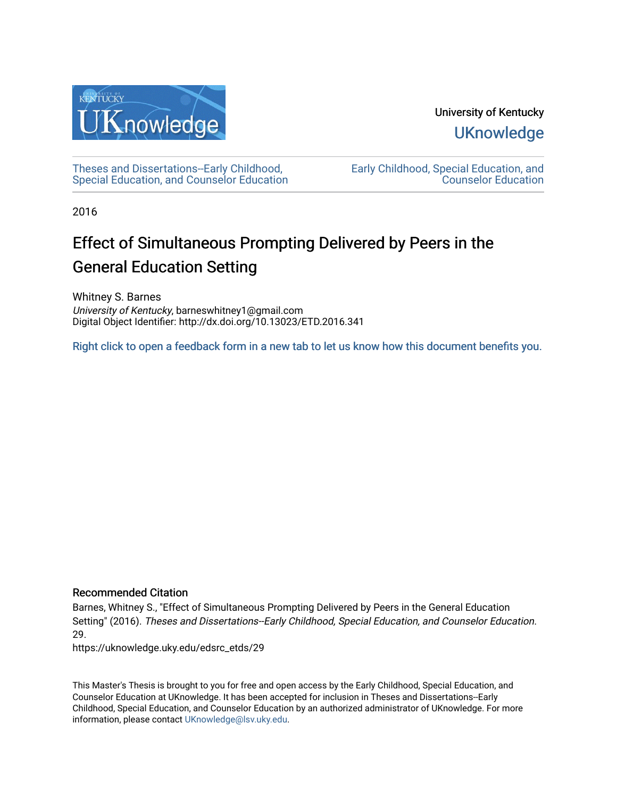

University of Kentucky **UKnowledge** 

[Theses and Dissertations--Early Childhood,](https://uknowledge.uky.edu/edsrc_etds)  [Special Education, and Counselor Education](https://uknowledge.uky.edu/edsrc_etds) [Early Childhood, Special Education, and](https://uknowledge.uky.edu/edsrc)  [Counselor Education](https://uknowledge.uky.edu/edsrc) 

2016

# Effect of Simultaneous Prompting Delivered by Peers in the General Education Setting

Whitney S. Barnes University of Kentucky, barneswhitney1@gmail.com Digital Object Identifier: http://dx.doi.org/10.13023/ETD.2016.341

[Right click to open a feedback form in a new tab to let us know how this document benefits you.](https://uky.az1.qualtrics.com/jfe/form/SV_9mq8fx2GnONRfz7)

#### Recommended Citation

Barnes, Whitney S., "Effect of Simultaneous Prompting Delivered by Peers in the General Education Setting" (2016). Theses and Dissertations--Early Childhood, Special Education, and Counselor Education. 29.

https://uknowledge.uky.edu/edsrc\_etds/29

This Master's Thesis is brought to you for free and open access by the Early Childhood, Special Education, and Counselor Education at UKnowledge. It has been accepted for inclusion in Theses and Dissertations--Early Childhood, Special Education, and Counselor Education by an authorized administrator of UKnowledge. For more information, please contact [UKnowledge@lsv.uky.edu](mailto:UKnowledge@lsv.uky.edu).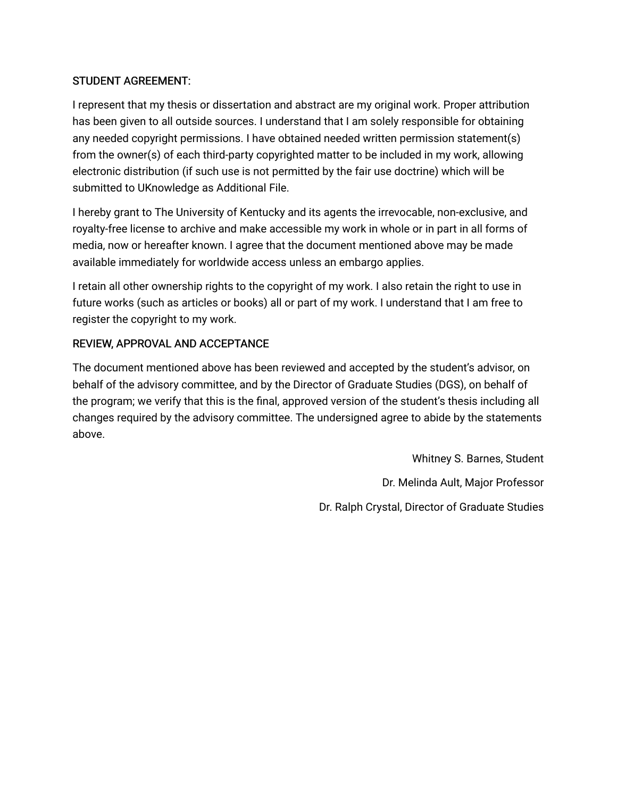### STUDENT AGREEMENT:

I represent that my thesis or dissertation and abstract are my original work. Proper attribution has been given to all outside sources. I understand that I am solely responsible for obtaining any needed copyright permissions. I have obtained needed written permission statement(s) from the owner(s) of each third-party copyrighted matter to be included in my work, allowing electronic distribution (if such use is not permitted by the fair use doctrine) which will be submitted to UKnowledge as Additional File.

I hereby grant to The University of Kentucky and its agents the irrevocable, non-exclusive, and royalty-free license to archive and make accessible my work in whole or in part in all forms of media, now or hereafter known. I agree that the document mentioned above may be made available immediately for worldwide access unless an embargo applies.

I retain all other ownership rights to the copyright of my work. I also retain the right to use in future works (such as articles or books) all or part of my work. I understand that I am free to register the copyright to my work.

### REVIEW, APPROVAL AND ACCEPTANCE

The document mentioned above has been reviewed and accepted by the student's advisor, on behalf of the advisory committee, and by the Director of Graduate Studies (DGS), on behalf of the program; we verify that this is the final, approved version of the student's thesis including all changes required by the advisory committee. The undersigned agree to abide by the statements above.

> Whitney S. Barnes, Student Dr. Melinda Ault, Major Professor Dr. Ralph Crystal, Director of Graduate Studies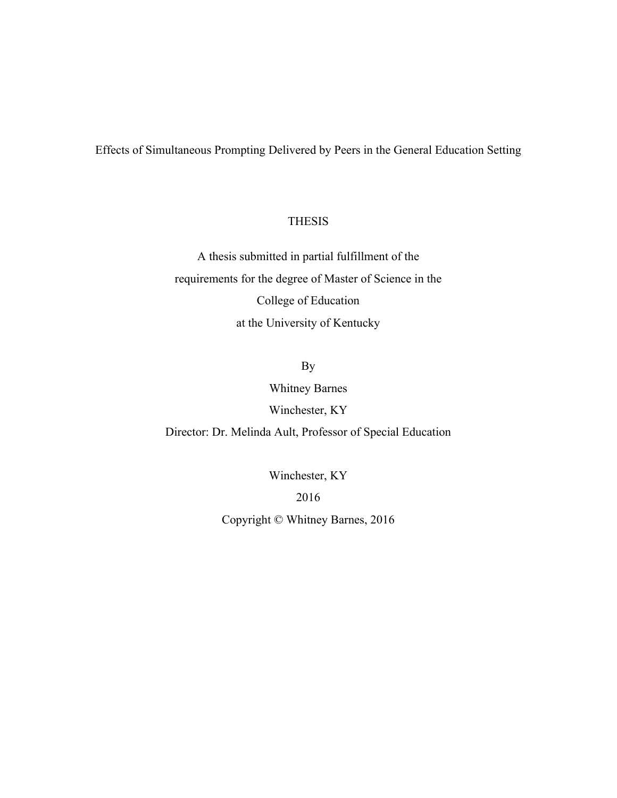Effects of Simultaneous Prompting Delivered by Peers in the General Education Setting

#### THESIS

A thesis submitted in partial fulfillment of the requirements for the degree of Master of Science in the College of Education at the University of Kentucky

# By

Whitney Barnes

Winchester, KY

Director: Dr. Melinda Ault, Professor of Special Education

Winchester, KY

2016

Copyright © Whitney Barnes, 2016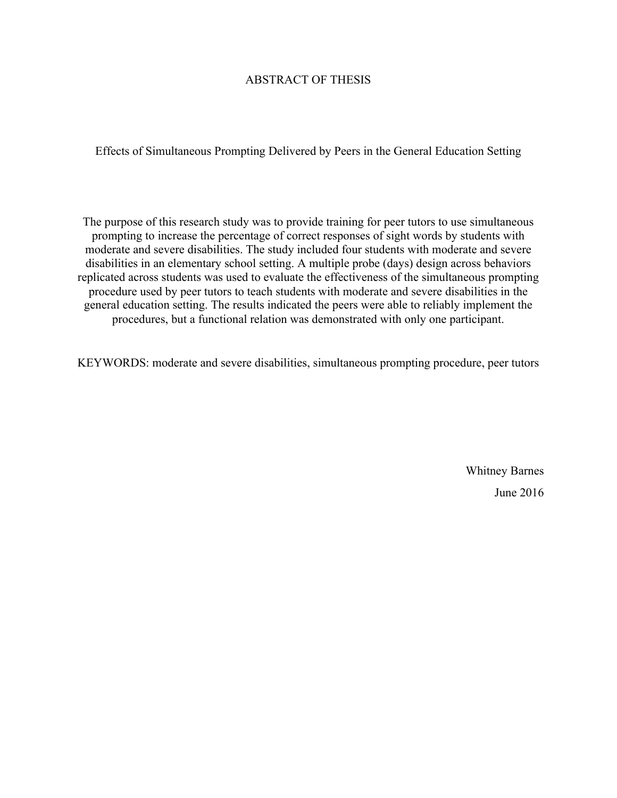#### ABSTRACT OF THESIS

Effects of Simultaneous Prompting Delivered by Peers in the General Education Setting

The purpose of this research study was to provide training for peer tutors to use simultaneous prompting to increase the percentage of correct responses of sight words by students with moderate and severe disabilities. The study included four students with moderate and severe disabilities in an elementary school setting. A multiple probe (days) design across behaviors replicated across students was used to evaluate the effectiveness of the simultaneous prompting procedure used by peer tutors to teach students with moderate and severe disabilities in the general education setting. The results indicated the peers were able to reliably implement the procedures, but a functional relation was demonstrated with only one participant.

KEYWORDS: moderate and severe disabilities, simultaneous prompting procedure, peer tutors

Whitney Barnes June 2016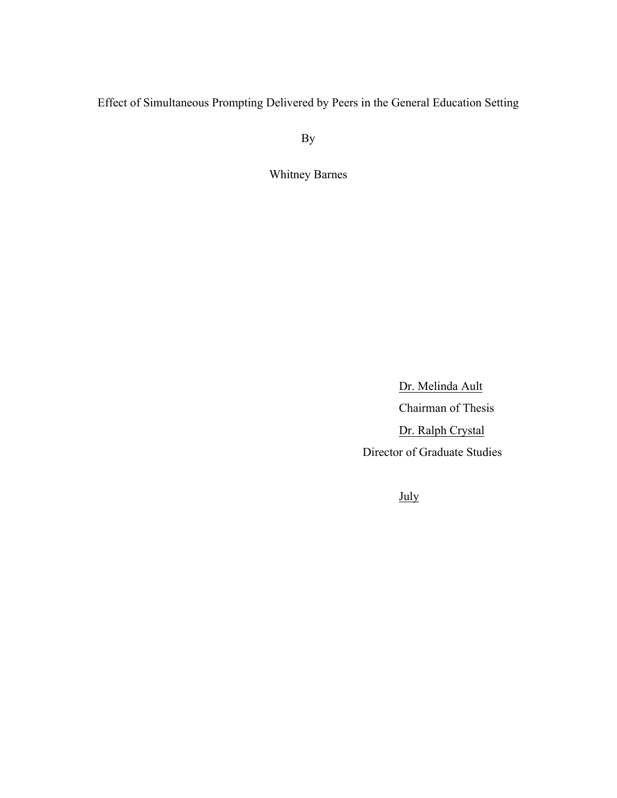Effect of Simultaneous Prompting Delivered by Peers in the General Education Setting

By

Whitney Barnes

Dr. Melinda Ault Chairman of Thesis Dr. Ralph Crystal Director of Graduate Studies

July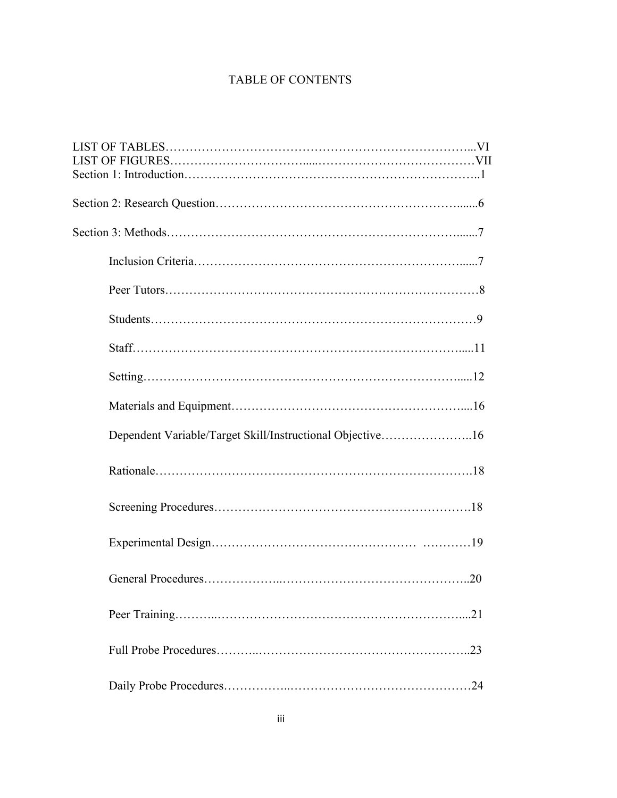# TABLE OF CONTENTS

| Dependent Variable/Target Skill/Instructional Objective16 |     |
|-----------------------------------------------------------|-----|
|                                                           |     |
|                                                           |     |
|                                                           |     |
|                                                           |     |
|                                                           | .21 |
|                                                           | .23 |
|                                                           |     |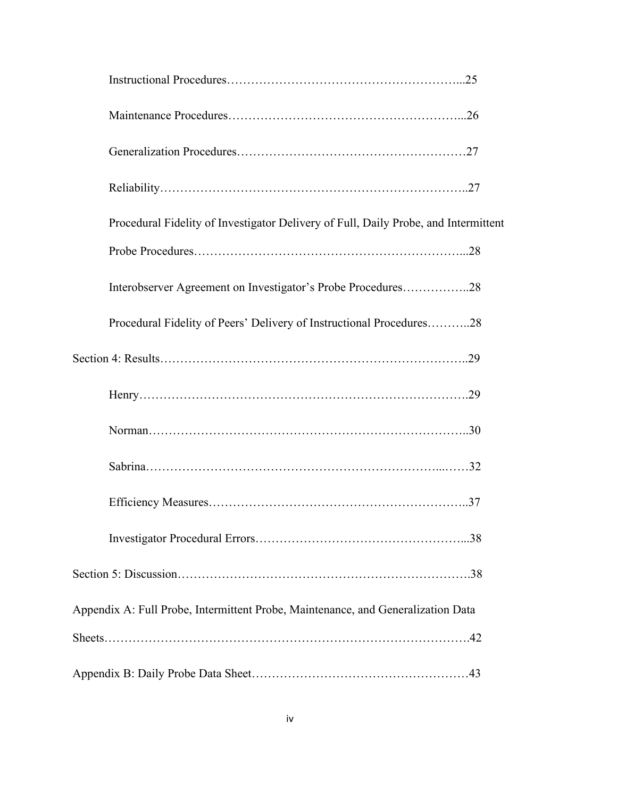| Procedural Fidelity of Investigator Delivery of Full, Daily Probe, and Intermittent |  |
|-------------------------------------------------------------------------------------|--|
|                                                                                     |  |
| Interobserver Agreement on Investigator's Probe Procedures28                        |  |
| Procedural Fidelity of Peers' Delivery of Instructional Procedures28                |  |
|                                                                                     |  |
|                                                                                     |  |
|                                                                                     |  |
|                                                                                     |  |
|                                                                                     |  |
|                                                                                     |  |
|                                                                                     |  |
| Appendix A: Full Probe, Intermittent Probe, Maintenance, and Generalization Data    |  |
|                                                                                     |  |
|                                                                                     |  |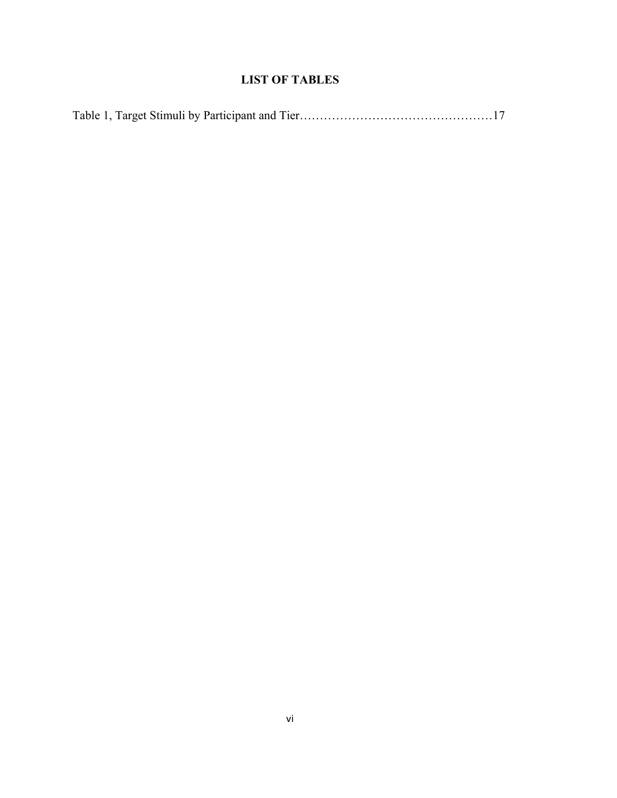# **LIST OF TABLES**

|--|--|--|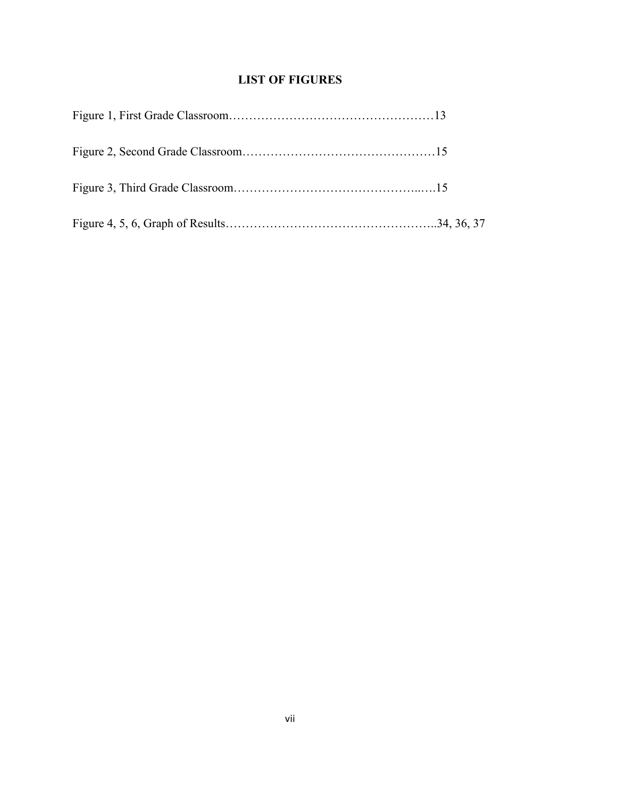# **LIST OF FIGURES**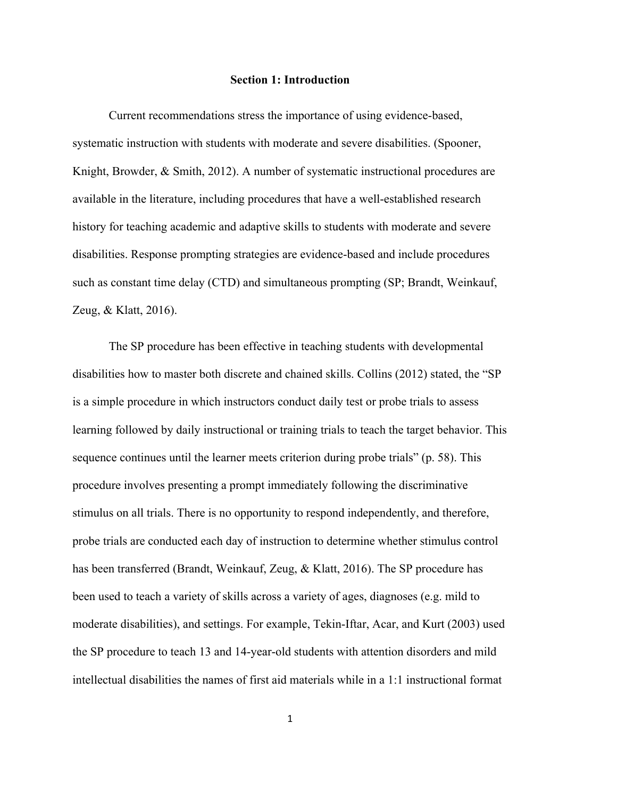#### **Section 1: Introduction**

Current recommendations stress the importance of using evidence-based, systematic instruction with students with moderate and severe disabilities. (Spooner, Knight, Browder, & Smith, 2012). A number of systematic instructional procedures are available in the literature, including procedures that have a well-established research history for teaching academic and adaptive skills to students with moderate and severe disabilities. Response prompting strategies are evidence-based and include procedures such as constant time delay (CTD) and simultaneous prompting (SP; Brandt, Weinkauf, Zeug, & Klatt, 2016).

The SP procedure has been effective in teaching students with developmental disabilities how to master both discrete and chained skills. Collins (2012) stated, the "SP is a simple procedure in which instructors conduct daily test or probe trials to assess learning followed by daily instructional or training trials to teach the target behavior. This sequence continues until the learner meets criterion during probe trials" (p. 58). This procedure involves presenting a prompt immediately following the discriminative stimulus on all trials. There is no opportunity to respond independently, and therefore, probe trials are conducted each day of instruction to determine whether stimulus control has been transferred (Brandt, Weinkauf, Zeug, & Klatt, 2016). The SP procedure has been used to teach a variety of skills across a variety of ages, diagnoses (e.g. mild to moderate disabilities), and settings. For example, Tekin-Iftar, Acar, and Kurt (2003) used the SP procedure to teach 13 and 14-year-old students with attention disorders and mild intellectual disabilities the names of first aid materials while in a 1:1 instructional format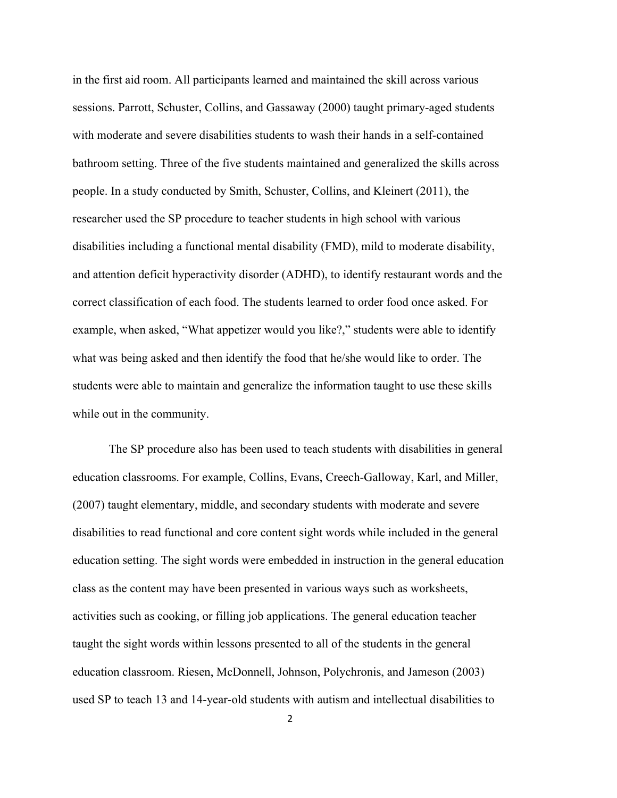in the first aid room. All participants learned and maintained the skill across various sessions. Parrott, Schuster, Collins, and Gassaway (2000) taught primary-aged students with moderate and severe disabilities students to wash their hands in a self-contained bathroom setting. Three of the five students maintained and generalized the skills across people. In a study conducted by Smith, Schuster, Collins, and Kleinert (2011), the researcher used the SP procedure to teacher students in high school with various disabilities including a functional mental disability (FMD), mild to moderate disability, and attention deficit hyperactivity disorder (ADHD), to identify restaurant words and the correct classification of each food. The students learned to order food once asked. For example, when asked, "What appetizer would you like?," students were able to identify what was being asked and then identify the food that he/she would like to order. The students were able to maintain and generalize the information taught to use these skills while out in the community.

The SP procedure also has been used to teach students with disabilities in general education classrooms. For example, Collins, Evans, Creech-Galloway, Karl, and Miller, (2007) taught elementary, middle, and secondary students with moderate and severe disabilities to read functional and core content sight words while included in the general education setting. The sight words were embedded in instruction in the general education class as the content may have been presented in various ways such as worksheets, activities such as cooking, or filling job applications. The general education teacher taught the sight words within lessons presented to all of the students in the general education classroom. Riesen, McDonnell, Johnson, Polychronis, and Jameson (2003) used SP to teach 13 and 14-year-old students with autism and intellectual disabilities to

2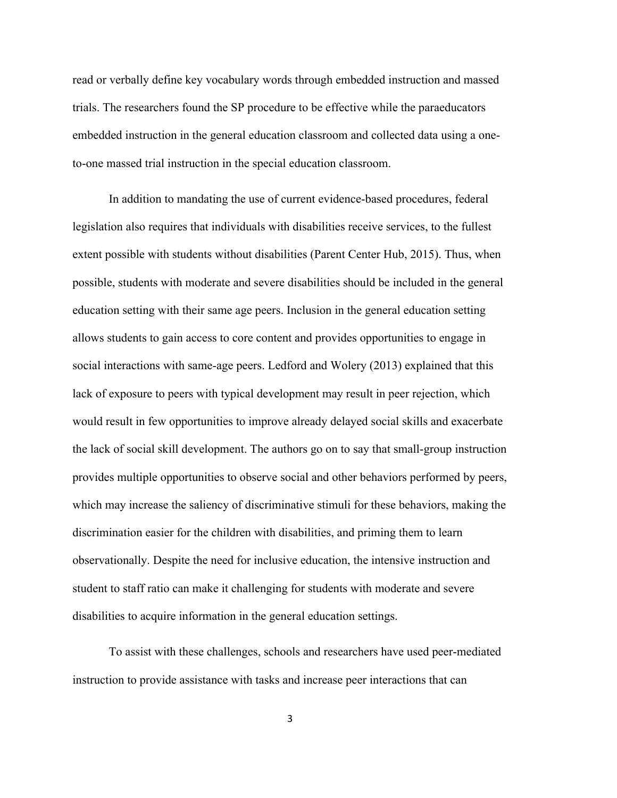read or verbally define key vocabulary words through embedded instruction and massed trials. The researchers found the SP procedure to be effective while the paraeducators embedded instruction in the general education classroom and collected data using a oneto-one massed trial instruction in the special education classroom.

In addition to mandating the use of current evidence-based procedures, federal legislation also requires that individuals with disabilities receive services, to the fullest extent possible with students without disabilities (Parent Center Hub, 2015). Thus, when possible, students with moderate and severe disabilities should be included in the general education setting with their same age peers. Inclusion in the general education setting allows students to gain access to core content and provides opportunities to engage in social interactions with same-age peers. Ledford and Wolery (2013) explained that this lack of exposure to peers with typical development may result in peer rejection, which would result in few opportunities to improve already delayed social skills and exacerbate the lack of social skill development. The authors go on to say that small-group instruction provides multiple opportunities to observe social and other behaviors performed by peers, which may increase the saliency of discriminative stimuli for these behaviors, making the discrimination easier for the children with disabilities, and priming them to learn observationally. Despite the need for inclusive education, the intensive instruction and student to staff ratio can make it challenging for students with moderate and severe disabilities to acquire information in the general education settings.

To assist with these challenges, schools and researchers have used peer-mediated instruction to provide assistance with tasks and increase peer interactions that can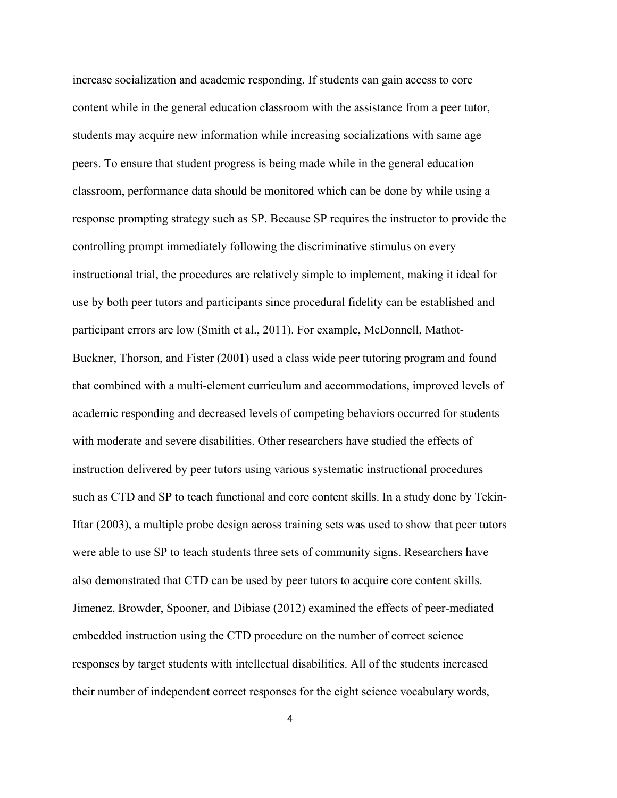increase socialization and academic responding. If students can gain access to core content while in the general education classroom with the assistance from a peer tutor, students may acquire new information while increasing socializations with same age peers. To ensure that student progress is being made while in the general education classroom, performance data should be monitored which can be done by while using a response prompting strategy such as SP. Because SP requires the instructor to provide the controlling prompt immediately following the discriminative stimulus on every instructional trial, the procedures are relatively simple to implement, making it ideal for use by both peer tutors and participants since procedural fidelity can be established and participant errors are low (Smith et al., 2011). For example, McDonnell, Mathot-Buckner, Thorson, and Fister (2001) used a class wide peer tutoring program and found that combined with a multi-element curriculum and accommodations, improved levels of academic responding and decreased levels of competing behaviors occurred for students with moderate and severe disabilities. Other researchers have studied the effects of instruction delivered by peer tutors using various systematic instructional procedures such as CTD and SP to teach functional and core content skills. In a study done by Tekin-Iftar (2003), a multiple probe design across training sets was used to show that peer tutors were able to use SP to teach students three sets of community signs. Researchers have also demonstrated that CTD can be used by peer tutors to acquire core content skills. Jimenez, Browder, Spooner, and Dibiase (2012) examined the effects of peer-mediated embedded instruction using the CTD procedure on the number of correct science responses by target students with intellectual disabilities. All of the students increased their number of independent correct responses for the eight science vocabulary words,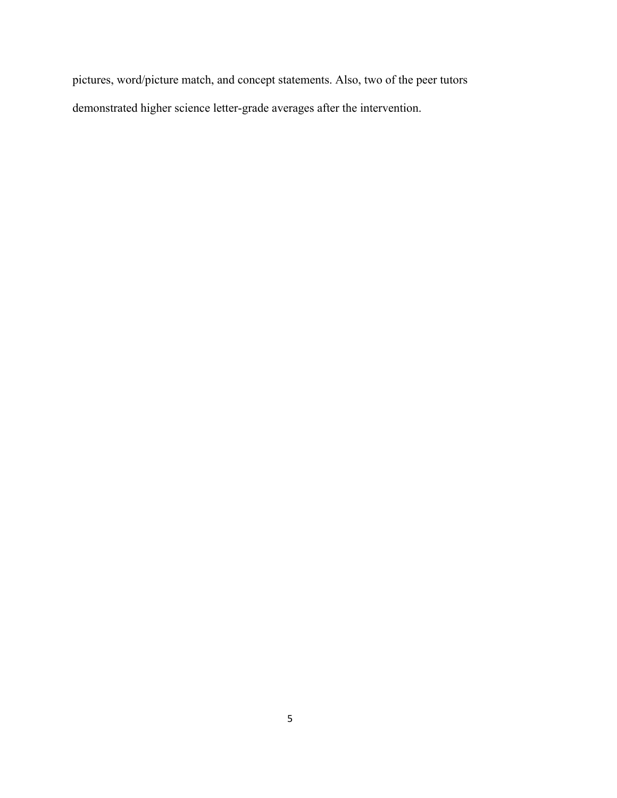pictures, word/picture match, and concept statements. Also, two of the peer tutors demonstrated higher science letter-grade averages after the intervention.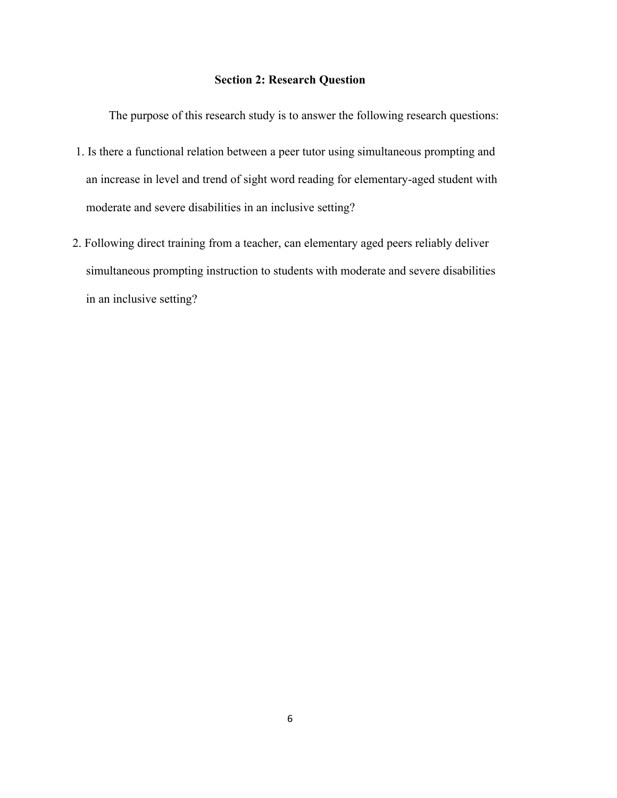#### **Section 2: Research Question**

The purpose of this research study is to answer the following research questions:

- 1. Is there a functional relation between a peer tutor using simultaneous prompting and an increase in level and trend of sight word reading for elementary-aged student with moderate and severe disabilities in an inclusive setting?
- 2. Following direct training from a teacher, can elementary aged peers reliably deliver simultaneous prompting instruction to students with moderate and severe disabilities in an inclusive setting?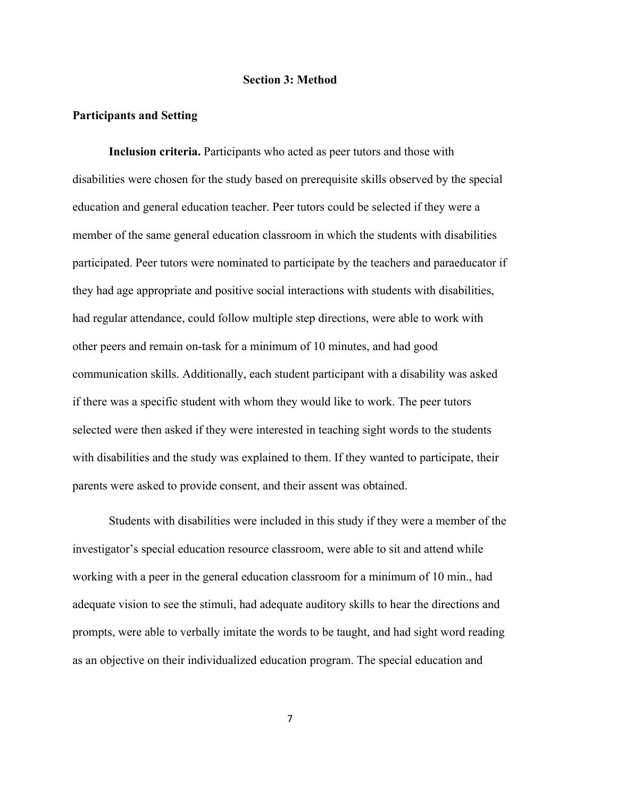#### **Section 3: Method**

#### **Participants and Setting**

**Inclusion criteria.** Participants who acted as peer tutors and those with disabilities were chosen for the study based on prerequisite skills observed by the special education and general education teacher. Peer tutors could be selected if they were a member of the same general education classroom in which the students with disabilities participated. Peer tutors were nominated to participate by the teachers and paraeducator if they had age appropriate and positive social interactions with students with disabilities, had regular attendance, could follow multiple step directions, were able to work with other peers and remain on-task for a minimum of 10 minutes, and had good communication skills. Additionally, each student participant with a disability was asked if there was a specific student with whom they would like to work. The peer tutors selected were then asked if they were interested in teaching sight words to the students with disabilities and the study was explained to them. If they wanted to participate, their parents were asked to provide consent, and their assent was obtained.

Students with disabilities were included in this study if they were a member of the investigator's special education resource classroom, were able to sit and attend while working with a peer in the general education classroom for a minimum of 10 min., had adequate vision to see the stimuli, had adequate auditory skills to hear the directions and prompts, were able to verbally imitate the words to be taught, and had sight word reading as an objective on their individualized education program. The special education and

7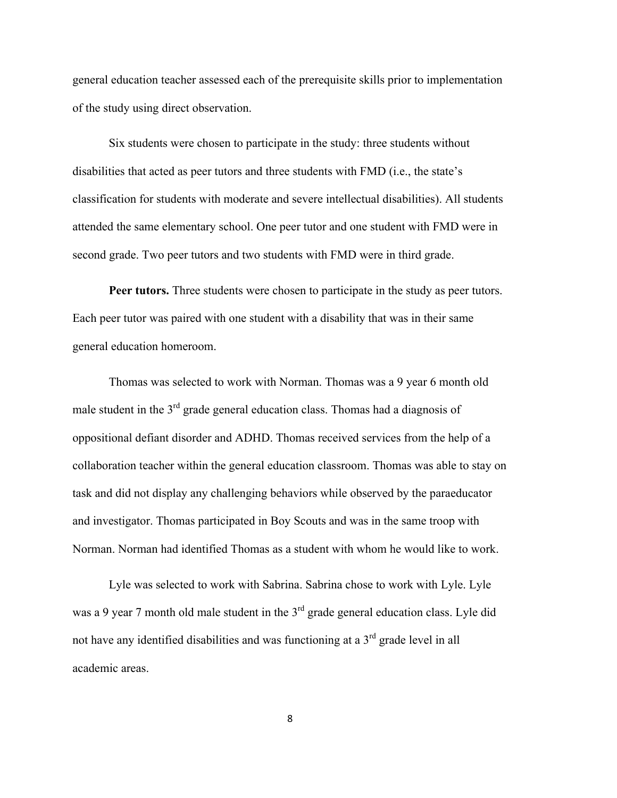general education teacher assessed each of the prerequisite skills prior to implementation of the study using direct observation.

Six students were chosen to participate in the study: three students without disabilities that acted as peer tutors and three students with FMD (i.e., the state's classification for students with moderate and severe intellectual disabilities). All students attended the same elementary school. One peer tutor and one student with FMD were in second grade. Two peer tutors and two students with FMD were in third grade.

**Peer tutors.** Three students were chosen to participate in the study as peer tutors. Each peer tutor was paired with one student with a disability that was in their same general education homeroom.

Thomas was selected to work with Norman. Thomas was a 9 year 6 month old male student in the  $3<sup>rd</sup>$  grade general education class. Thomas had a diagnosis of oppositional defiant disorder and ADHD. Thomas received services from the help of a collaboration teacher within the general education classroom. Thomas was able to stay on task and did not display any challenging behaviors while observed by the paraeducator and investigator. Thomas participated in Boy Scouts and was in the same troop with Norman. Norman had identified Thomas as a student with whom he would like to work.

Lyle was selected to work with Sabrina. Sabrina chose to work with Lyle. Lyle was a 9 year 7 month old male student in the  $3<sup>rd</sup>$  grade general education class. Lyle did not have any identified disabilities and was functioning at a  $3<sup>rd</sup>$  grade level in all academic areas.

8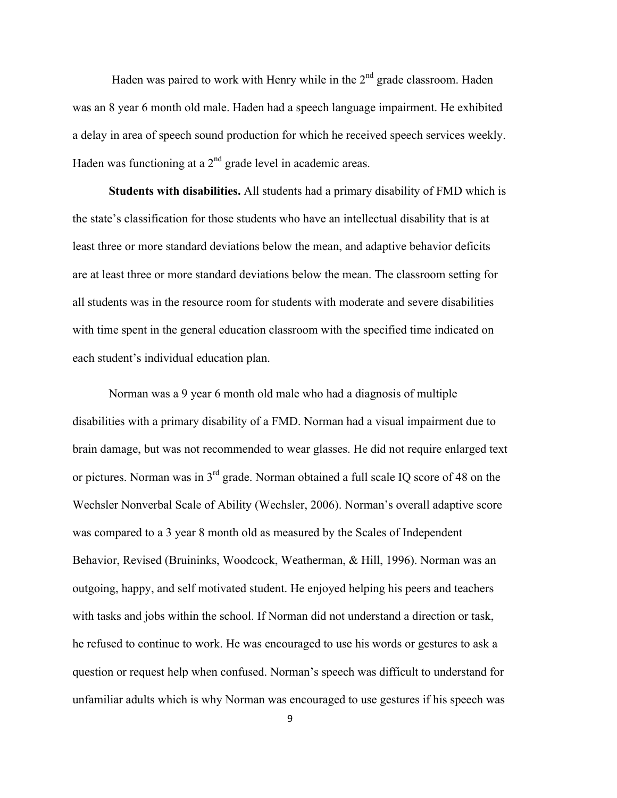Haden was paired to work with Henry while in the  $2<sup>nd</sup>$  grade classroom. Haden was an 8 year 6 month old male. Haden had a speech language impairment. He exhibited a delay in area of speech sound production for which he received speech services weekly. Haden was functioning at a  $2<sup>nd</sup>$  grade level in academic areas.

**Students with disabilities.** All students had a primary disability of FMD which is the state's classification for those students who have an intellectual disability that is at least three or more standard deviations below the mean, and adaptive behavior deficits are at least three or more standard deviations below the mean. The classroom setting for all students was in the resource room for students with moderate and severe disabilities with time spent in the general education classroom with the specified time indicated on each student's individual education plan.

Norman was a 9 year 6 month old male who had a diagnosis of multiple disabilities with a primary disability of a FMD. Norman had a visual impairment due to brain damage, but was not recommended to wear glasses. He did not require enlarged text or pictures. Norman was in 3rd grade. Norman obtained a full scale IQ score of 48 on the Wechsler Nonverbal Scale of Ability (Wechsler, 2006). Norman's overall adaptive score was compared to a 3 year 8 month old as measured by the Scales of Independent Behavior, Revised (Bruininks, Woodcock, Weatherman, & Hill, 1996). Norman was an outgoing, happy, and self motivated student. He enjoyed helping his peers and teachers with tasks and jobs within the school. If Norman did not understand a direction or task, he refused to continue to work. He was encouraged to use his words or gestures to ask a question or request help when confused. Norman's speech was difficult to understand for unfamiliar adults which is why Norman was encouraged to use gestures if his speech was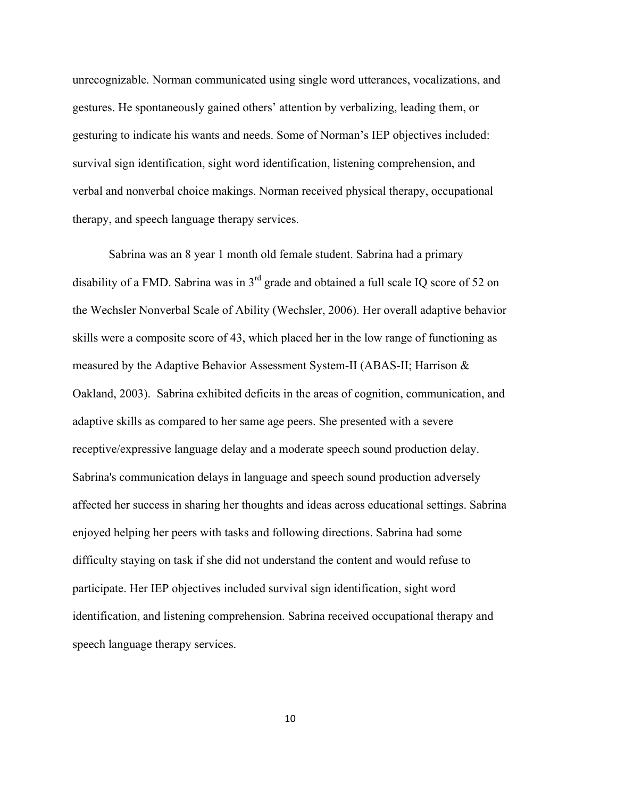unrecognizable. Norman communicated using single word utterances, vocalizations, and gestures. He spontaneously gained others' attention by verbalizing, leading them, or gesturing to indicate his wants and needs. Some of Norman's IEP objectives included: survival sign identification, sight word identification, listening comprehension, and verbal and nonverbal choice makings. Norman received physical therapy, occupational therapy, and speech language therapy services.

Sabrina was an 8 year 1 month old female student. Sabrina had a primary disability of a FMD. Sabrina was in  $3<sup>rd</sup>$  grade and obtained a full scale IQ score of 52 on the Wechsler Nonverbal Scale of Ability (Wechsler, 2006). Her overall adaptive behavior skills were a composite score of 43, which placed her in the low range of functioning as measured by the Adaptive Behavior Assessment System-II (ABAS-II; Harrison & Oakland, 2003). Sabrina exhibited deficits in the areas of cognition, communication, and adaptive skills as compared to her same age peers. She presented with a severe receptive/expressive language delay and a moderate speech sound production delay. Sabrina's communication delays in language and speech sound production adversely affected her success in sharing her thoughts and ideas across educational settings. Sabrina enjoyed helping her peers with tasks and following directions. Sabrina had some difficulty staying on task if she did not understand the content and would refuse to participate. Her IEP objectives included survival sign identification, sight word identification, and listening comprehension. Sabrina received occupational therapy and speech language therapy services.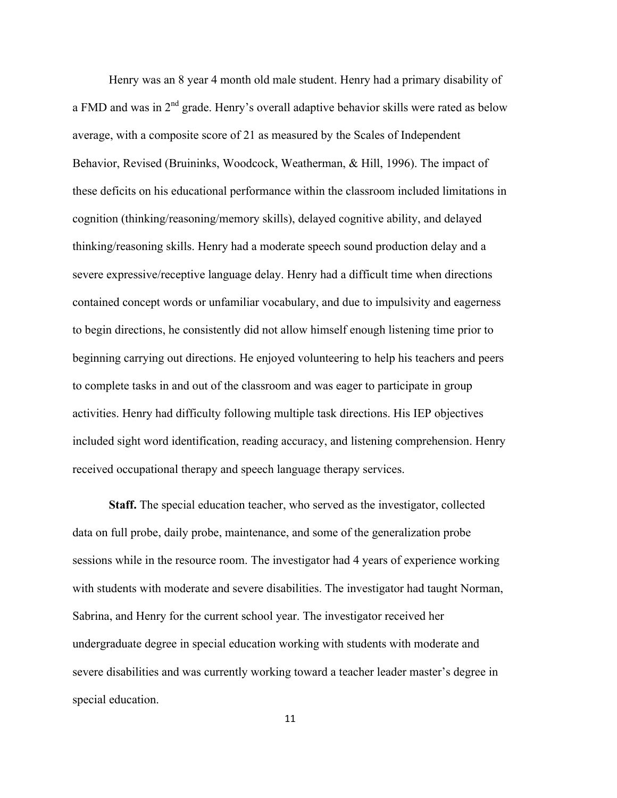Henry was an 8 year 4 month old male student. Henry had a primary disability of a FMD and was in  $2<sup>nd</sup>$  grade. Henry's overall adaptive behavior skills were rated as below average, with a composite score of 21 as measured by the Scales of Independent Behavior, Revised (Bruininks, Woodcock, Weatherman, & Hill, 1996). The impact of these deficits on his educational performance within the classroom included limitations in cognition (thinking/reasoning/memory skills), delayed cognitive ability, and delayed thinking/reasoning skills. Henry had a moderate speech sound production delay and a severe expressive/receptive language delay. Henry had a difficult time when directions contained concept words or unfamiliar vocabulary, and due to impulsivity and eagerness to begin directions, he consistently did not allow himself enough listening time prior to beginning carrying out directions. He enjoyed volunteering to help his teachers and peers to complete tasks in and out of the classroom and was eager to participate in group activities. Henry had difficulty following multiple task directions. His IEP objectives included sight word identification, reading accuracy, and listening comprehension. Henry received occupational therapy and speech language therapy services.

**Staff.** The special education teacher, who served as the investigator, collected data on full probe, daily probe, maintenance, and some of the generalization probe sessions while in the resource room. The investigator had 4 years of experience working with students with moderate and severe disabilities. The investigator had taught Norman, Sabrina, and Henry for the current school year. The investigator received her undergraduate degree in special education working with students with moderate and severe disabilities and was currently working toward a teacher leader master's degree in special education.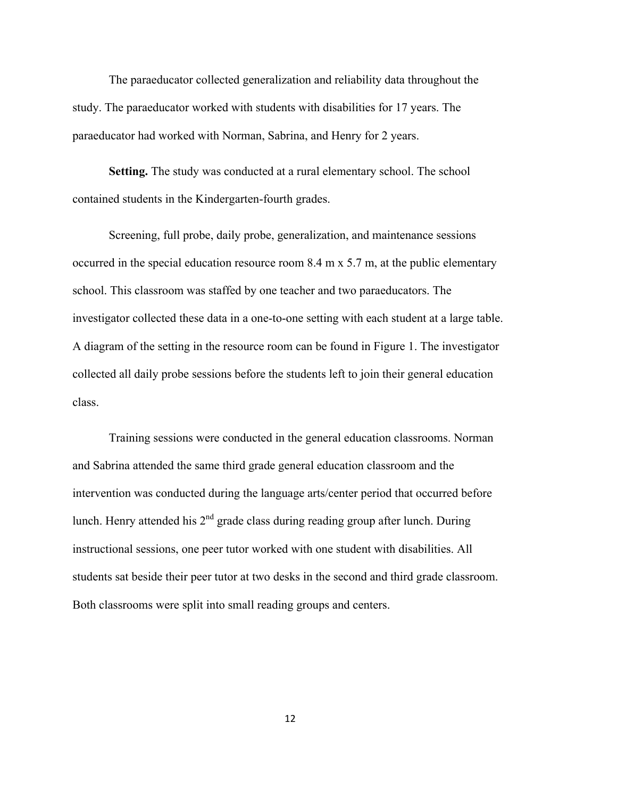The paraeducator collected generalization and reliability data throughout the study. The paraeducator worked with students with disabilities for 17 years. The paraeducator had worked with Norman, Sabrina, and Henry for 2 years.

**Setting.** The study was conducted at a rural elementary school. The school contained students in the Kindergarten-fourth grades.

Screening, full probe, daily probe, generalization, and maintenance sessions occurred in the special education resource room 8.4 m x 5.7 m, at the public elementary school. This classroom was staffed by one teacher and two paraeducators. The investigator collected these data in a one-to-one setting with each student at a large table. A diagram of the setting in the resource room can be found in Figure 1. The investigator collected all daily probe sessions before the students left to join their general education class.

Training sessions were conducted in the general education classrooms. Norman and Sabrina attended the same third grade general education classroom and the intervention was conducted during the language arts/center period that occurred before lunch. Henry attended his 2<sup>nd</sup> grade class during reading group after lunch. During instructional sessions, one peer tutor worked with one student with disabilities. All students sat beside their peer tutor at two desks in the second and third grade classroom. Both classrooms were split into small reading groups and centers.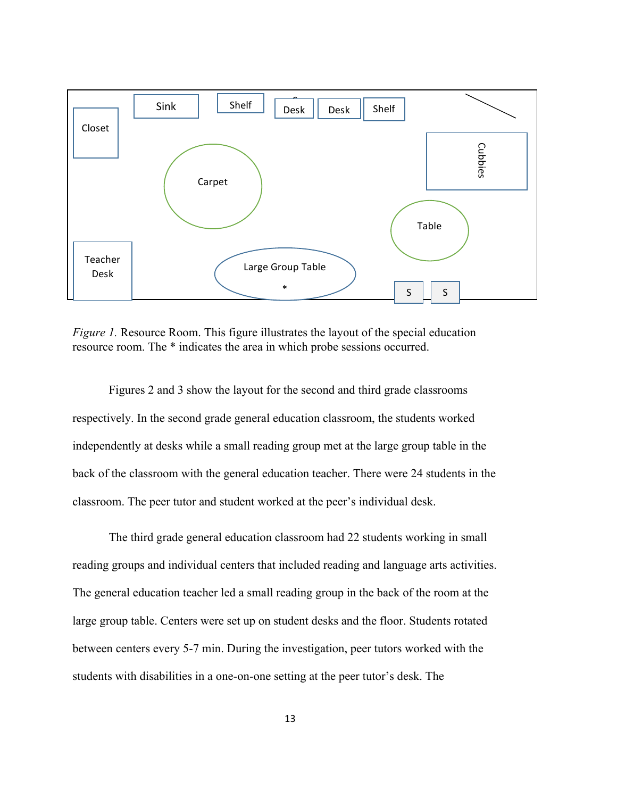

*Figure 1.* Resource Room. This figure illustrates the layout of the special education resource room. The \* indicates the area in which probe sessions occurred.

Figures 2 and 3 show the layout for the second and third grade classrooms respectively. In the second grade general education classroom, the students worked independently at desks while a small reading group met at the large group table in the back of the classroom with the general education teacher. There were 24 students in the classroom. The peer tutor and student worked at the peer's individual desk.

The third grade general education classroom had 22 students working in small reading groups and individual centers that included reading and language arts activities. The general education teacher led a small reading group in the back of the room at the large group table. Centers were set up on student desks and the floor. Students rotated between centers every 5-7 min. During the investigation, peer tutors worked with the students with disabilities in a one-on-one setting at the peer tutor's desk. The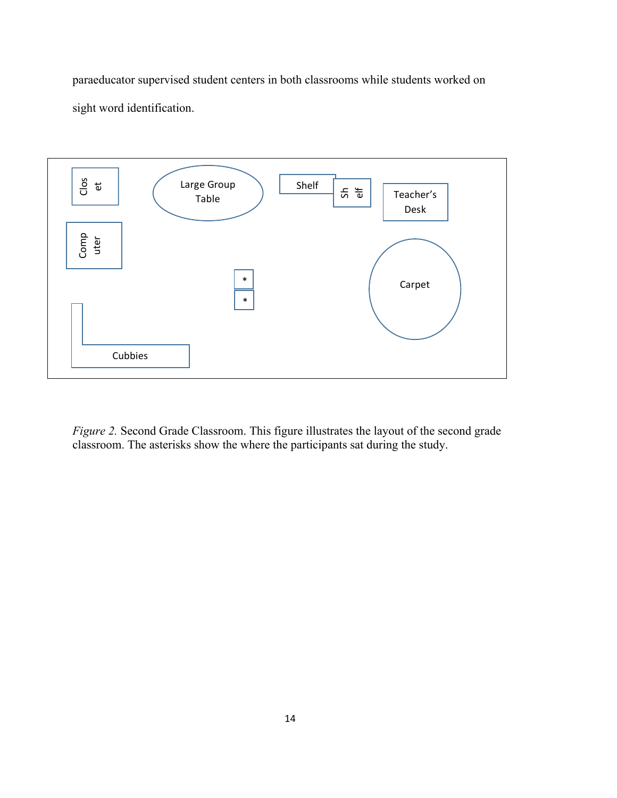paraeducator supervised student centers in both classrooms while students worked on sight word identification.



*Figure 2.* Second Grade Classroom. This figure illustrates the layout of the second grade classroom. The asterisks show the where the participants sat during the study.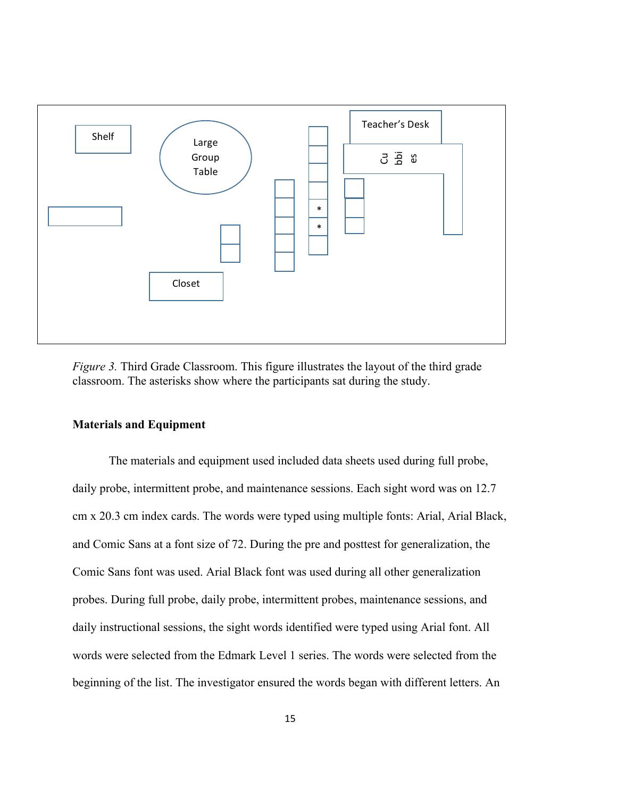

*Figure 3.* Third Grade Classroom. This figure illustrates the layout of the third grade classroom. The asterisks show where the participants sat during the study.

#### **Materials and Equipment**

The materials and equipment used included data sheets used during full probe, daily probe, intermittent probe, and maintenance sessions. Each sight word was on 12.7 cm x 20.3 cm index cards. The words were typed using multiple fonts: Arial, Arial Black, and Comic Sans at a font size of 72. During the pre and posttest for generalization, the Comic Sans font was used. Arial Black font was used during all other generalization probes. During full probe, daily probe, intermittent probes, maintenance sessions, and daily instructional sessions, the sight words identified were typed using Arial font. All words were selected from the Edmark Level 1 series. The words were selected from the beginning of the list. The investigator ensured the words began with different letters. An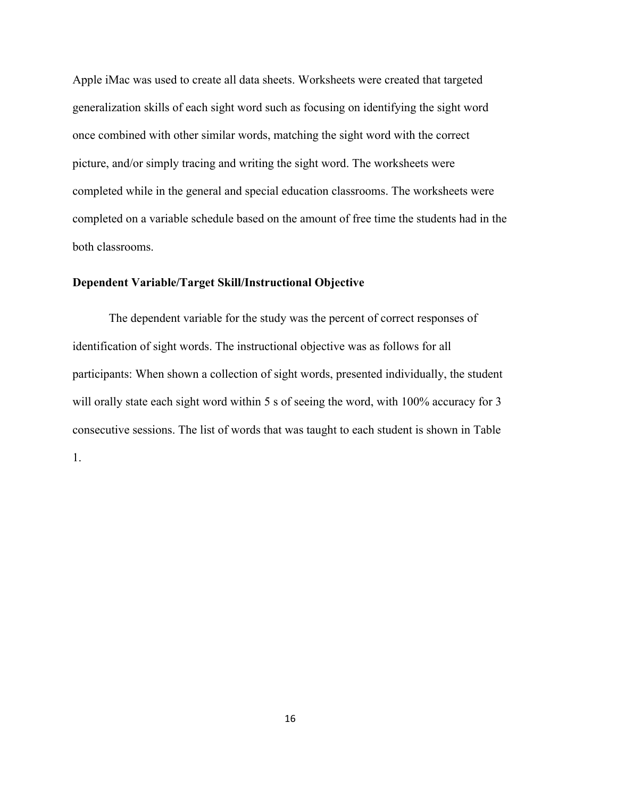Apple iMac was used to create all data sheets. Worksheets were created that targeted generalization skills of each sight word such as focusing on identifying the sight word once combined with other similar words, matching the sight word with the correct picture, and/or simply tracing and writing the sight word. The worksheets were completed while in the general and special education classrooms. The worksheets were completed on a variable schedule based on the amount of free time the students had in the both classrooms.

#### **Dependent Variable/Target Skill/Instructional Objective**

The dependent variable for the study was the percent of correct responses of identification of sight words. The instructional objective was as follows for all participants: When shown a collection of sight words, presented individually, the student will orally state each sight word within 5 s of seeing the word, with 100% accuracy for 3 consecutive sessions. The list of words that was taught to each student is shown in Table 1.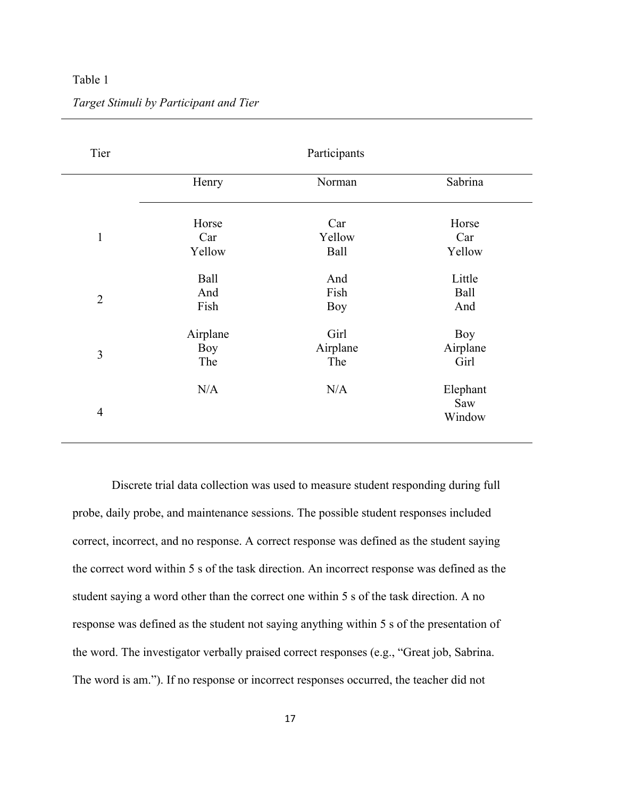#### Table 1

| Tier           | Participants |          |          |  |  |
|----------------|--------------|----------|----------|--|--|
|                | Henry        | Norman   | Sabrina  |  |  |
|                | Horse        | Car      | Horse    |  |  |
| $\mathbf{1}$   | Car          | Yellow   | Car      |  |  |
|                | Yellow       | Ball     | Yellow   |  |  |
|                | Ball         | And      | Little   |  |  |
|                | And          | Fish     | Ball     |  |  |
| $\overline{2}$ | Fish         | Boy      | And      |  |  |
|                | Airplane     | Girl     | Boy      |  |  |
| 3              | <b>Boy</b>   | Airplane | Airplane |  |  |
|                | The          | The      | Girl     |  |  |
|                | N/A          | N/A      | Elephant |  |  |
|                |              |          | Saw      |  |  |
| $\overline{4}$ |              |          | Window   |  |  |

*Target Stimuli by Participant and Tier*

Discrete trial data collection was used to measure student responding during full probe, daily probe, and maintenance sessions. The possible student responses included correct, incorrect, and no response. A correct response was defined as the student saying the correct word within 5 s of the task direction. An incorrect response was defined as the student saying a word other than the correct one within 5 s of the task direction. A no response was defined as the student not saying anything within 5 s of the presentation of the word. The investigator verbally praised correct responses (e.g., "Great job, Sabrina. The word is am."). If no response or incorrect responses occurred, the teacher did not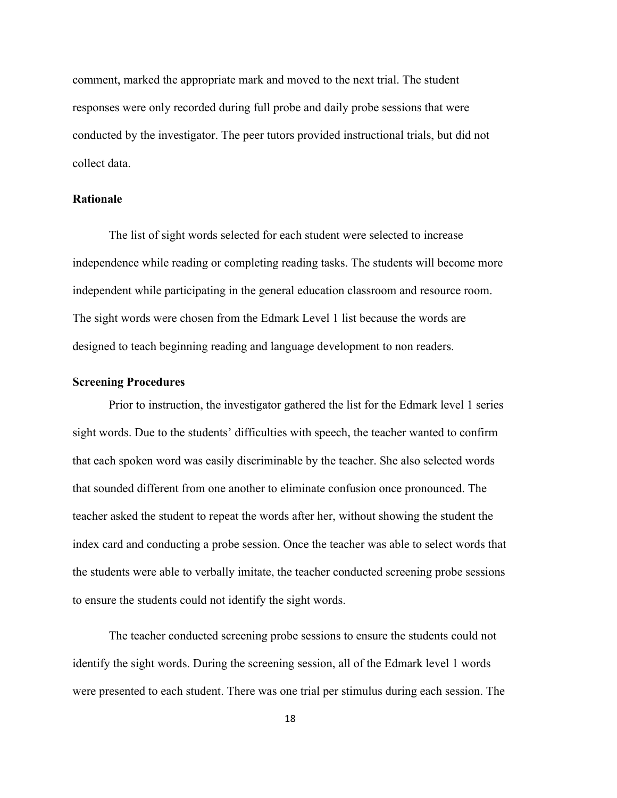comment, marked the appropriate mark and moved to the next trial. The student responses were only recorded during full probe and daily probe sessions that were conducted by the investigator. The peer tutors provided instructional trials, but did not collect data.

### **Rationale**

The list of sight words selected for each student were selected to increase independence while reading or completing reading tasks. The students will become more independent while participating in the general education classroom and resource room. The sight words were chosen from the Edmark Level 1 list because the words are designed to teach beginning reading and language development to non readers.

#### **Screening Procedures**

Prior to instruction, the investigator gathered the list for the Edmark level 1 series sight words. Due to the students' difficulties with speech, the teacher wanted to confirm that each spoken word was easily discriminable by the teacher. She also selected words that sounded different from one another to eliminate confusion once pronounced. The teacher asked the student to repeat the words after her, without showing the student the index card and conducting a probe session. Once the teacher was able to select words that the students were able to verbally imitate, the teacher conducted screening probe sessions to ensure the students could not identify the sight words.

The teacher conducted screening probe sessions to ensure the students could not identify the sight words. During the screening session, all of the Edmark level 1 words were presented to each student. There was one trial per stimulus during each session. The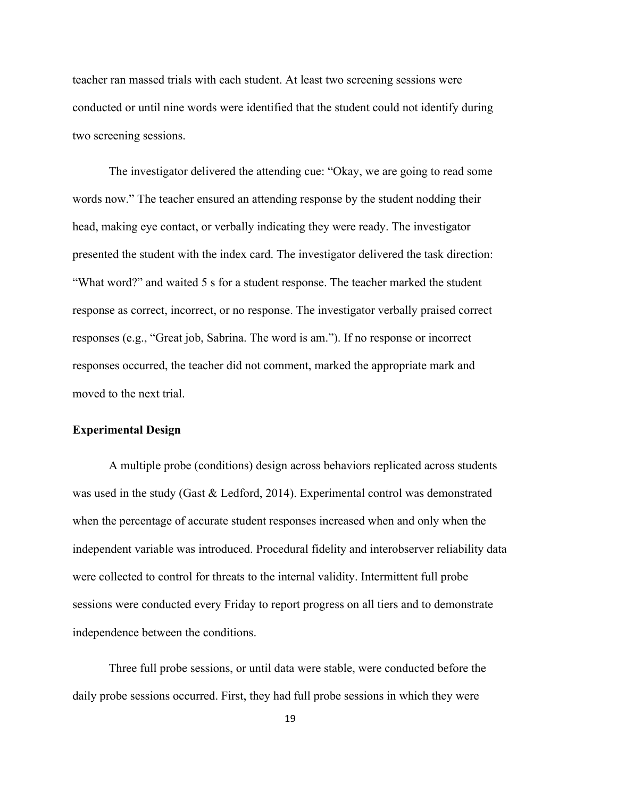teacher ran massed trials with each student. At least two screening sessions were conducted or until nine words were identified that the student could not identify during two screening sessions.

The investigator delivered the attending cue: "Okay, we are going to read some words now." The teacher ensured an attending response by the student nodding their head, making eye contact, or verbally indicating they were ready. The investigator presented the student with the index card. The investigator delivered the task direction: "What word?" and waited 5 s for a student response. The teacher marked the student response as correct, incorrect, or no response. The investigator verbally praised correct responses (e.g., "Great job, Sabrina. The word is am."). If no response or incorrect responses occurred, the teacher did not comment, marked the appropriate mark and moved to the next trial.

#### **Experimental Design**

A multiple probe (conditions) design across behaviors replicated across students was used in the study (Gast & Ledford, 2014). Experimental control was demonstrated when the percentage of accurate student responses increased when and only when the independent variable was introduced. Procedural fidelity and interobserver reliability data were collected to control for threats to the internal validity. Intermittent full probe sessions were conducted every Friday to report progress on all tiers and to demonstrate independence between the conditions.

Three full probe sessions, or until data were stable, were conducted before the daily probe sessions occurred. First, they had full probe sessions in which they were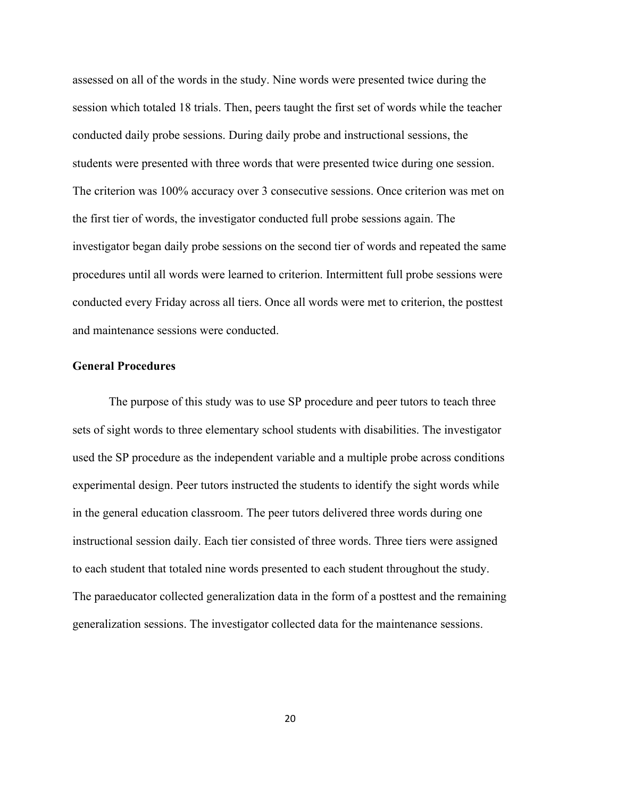assessed on all of the words in the study. Nine words were presented twice during the session which totaled 18 trials. Then, peers taught the first set of words while the teacher conducted daily probe sessions. During daily probe and instructional sessions, the students were presented with three words that were presented twice during one session. The criterion was 100% accuracy over 3 consecutive sessions. Once criterion was met on the first tier of words, the investigator conducted full probe sessions again. The investigator began daily probe sessions on the second tier of words and repeated the same procedures until all words were learned to criterion. Intermittent full probe sessions were conducted every Friday across all tiers. Once all words were met to criterion, the posttest and maintenance sessions were conducted.

#### **General Procedures**

The purpose of this study was to use SP procedure and peer tutors to teach three sets of sight words to three elementary school students with disabilities. The investigator used the SP procedure as the independent variable and a multiple probe across conditions experimental design. Peer tutors instructed the students to identify the sight words while in the general education classroom. The peer tutors delivered three words during one instructional session daily. Each tier consisted of three words. Three tiers were assigned to each student that totaled nine words presented to each student throughout the study. The paraeducator collected generalization data in the form of a posttest and the remaining generalization sessions. The investigator collected data for the maintenance sessions.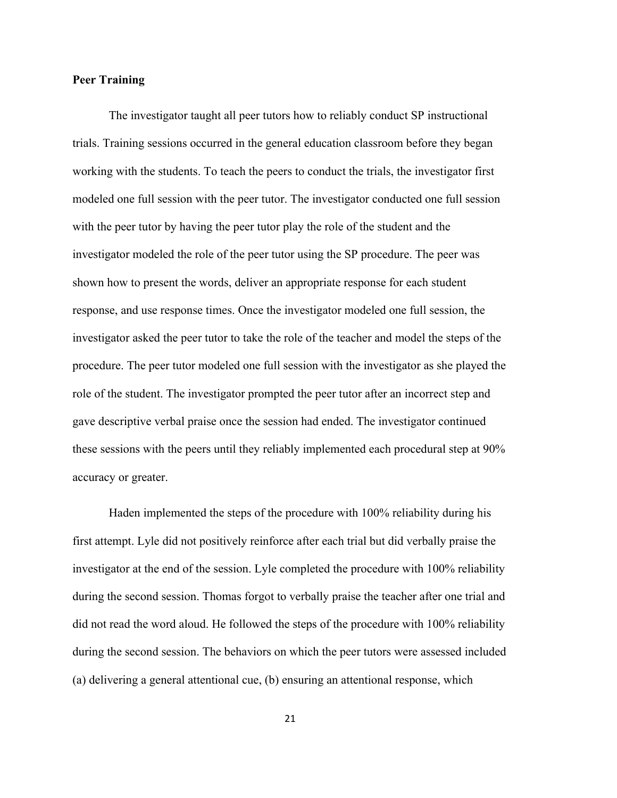#### **Peer Training**

The investigator taught all peer tutors how to reliably conduct SP instructional trials. Training sessions occurred in the general education classroom before they began working with the students. To teach the peers to conduct the trials, the investigator first modeled one full session with the peer tutor. The investigator conducted one full session with the peer tutor by having the peer tutor play the role of the student and the investigator modeled the role of the peer tutor using the SP procedure. The peer was shown how to present the words, deliver an appropriate response for each student response, and use response times. Once the investigator modeled one full session, the investigator asked the peer tutor to take the role of the teacher and model the steps of the procedure. The peer tutor modeled one full session with the investigator as she played the role of the student. The investigator prompted the peer tutor after an incorrect step and gave descriptive verbal praise once the session had ended. The investigator continued these sessions with the peers until they reliably implemented each procedural step at 90% accuracy or greater.

Haden implemented the steps of the procedure with 100% reliability during his first attempt. Lyle did not positively reinforce after each trial but did verbally praise the investigator at the end of the session. Lyle completed the procedure with 100% reliability during the second session. Thomas forgot to verbally praise the teacher after one trial and did not read the word aloud. He followed the steps of the procedure with 100% reliability during the second session. The behaviors on which the peer tutors were assessed included (a) delivering a general attentional cue, (b) ensuring an attentional response, which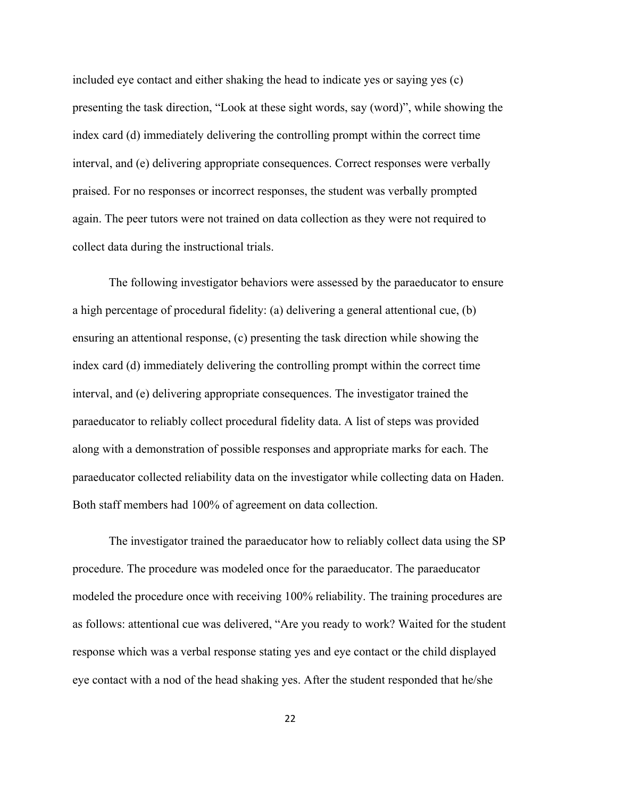included eye contact and either shaking the head to indicate yes or saying yes (c) presenting the task direction, "Look at these sight words, say (word)", while showing the index card (d) immediately delivering the controlling prompt within the correct time interval, and (e) delivering appropriate consequences. Correct responses were verbally praised. For no responses or incorrect responses, the student was verbally prompted again. The peer tutors were not trained on data collection as they were not required to collect data during the instructional trials.

The following investigator behaviors were assessed by the paraeducator to ensure a high percentage of procedural fidelity: (a) delivering a general attentional cue, (b) ensuring an attentional response, (c) presenting the task direction while showing the index card (d) immediately delivering the controlling prompt within the correct time interval, and (e) delivering appropriate consequences. The investigator trained the paraeducator to reliably collect procedural fidelity data. A list of steps was provided along with a demonstration of possible responses and appropriate marks for each. The paraeducator collected reliability data on the investigator while collecting data on Haden. Both staff members had 100% of agreement on data collection.

The investigator trained the paraeducator how to reliably collect data using the SP procedure. The procedure was modeled once for the paraeducator. The paraeducator modeled the procedure once with receiving 100% reliability. The training procedures are as follows: attentional cue was delivered, "Are you ready to work? Waited for the student response which was a verbal response stating yes and eye contact or the child displayed eye contact with a nod of the head shaking yes. After the student responded that he/she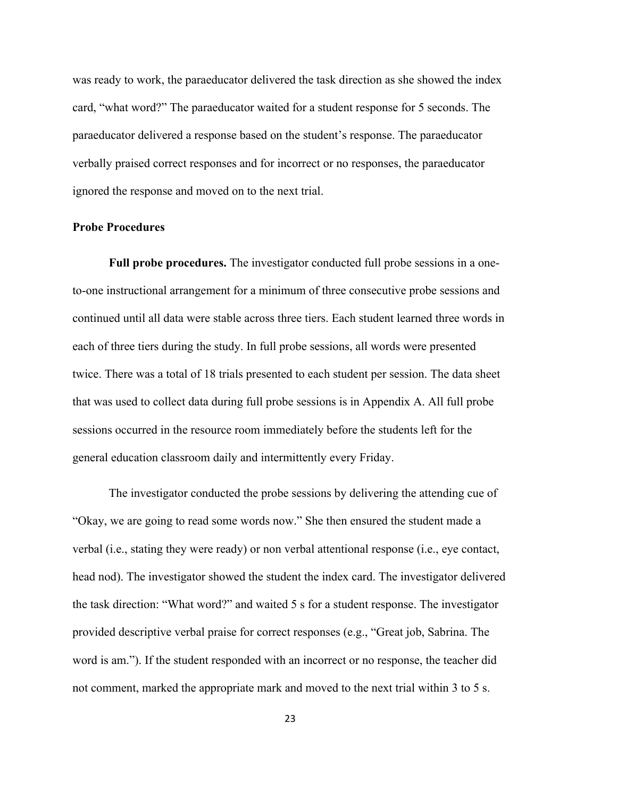was ready to work, the paraeducator delivered the task direction as she showed the index card, "what word?" The paraeducator waited for a student response for 5 seconds. The paraeducator delivered a response based on the student's response. The paraeducator verbally praised correct responses and for incorrect or no responses, the paraeducator ignored the response and moved on to the next trial.

#### **Probe Procedures**

**Full probe procedures.** The investigator conducted full probe sessions in a oneto-one instructional arrangement for a minimum of three consecutive probe sessions and continued until all data were stable across three tiers. Each student learned three words in each of three tiers during the study. In full probe sessions, all words were presented twice. There was a total of 18 trials presented to each student per session. The data sheet that was used to collect data during full probe sessions is in Appendix A. All full probe sessions occurred in the resource room immediately before the students left for the general education classroom daily and intermittently every Friday.

The investigator conducted the probe sessions by delivering the attending cue of "Okay, we are going to read some words now." She then ensured the student made a verbal (i.e., stating they were ready) or non verbal attentional response (i.e., eye contact, head nod). The investigator showed the student the index card. The investigator delivered the task direction: "What word?" and waited 5 s for a student response. The investigator provided descriptive verbal praise for correct responses (e.g., "Great job, Sabrina. The word is am."). If the student responded with an incorrect or no response, the teacher did not comment, marked the appropriate mark and moved to the next trial within 3 to 5 s.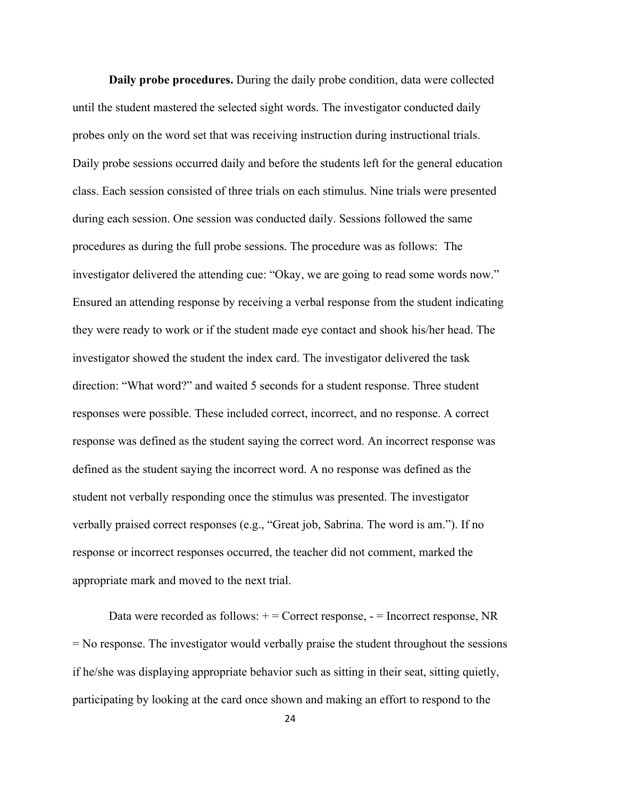**Daily probe procedures.** During the daily probe condition, data were collected until the student mastered the selected sight words. The investigator conducted daily probes only on the word set that was receiving instruction during instructional trials. Daily probe sessions occurred daily and before the students left for the general education class. Each session consisted of three trials on each stimulus. Nine trials were presented during each session. One session was conducted daily. Sessions followed the same procedures as during the full probe sessions. The procedure was as follows: The investigator delivered the attending cue: "Okay, we are going to read some words now." Ensured an attending response by receiving a verbal response from the student indicating they were ready to work or if the student made eye contact and shook his/her head. The investigator showed the student the index card. The investigator delivered the task direction: "What word?" and waited 5 seconds for a student response. Three student responses were possible. These included correct, incorrect, and no response. A correct response was defined as the student saying the correct word. An incorrect response was defined as the student saying the incorrect word. A no response was defined as the student not verbally responding once the stimulus was presented. The investigator verbally praised correct responses (e.g., "Great job, Sabrina. The word is am."). If no response or incorrect responses occurred, the teacher did not comment, marked the appropriate mark and moved to the next trial.

Data were recorded as follows:  $+$  = Correct response,  $-$  = Incorrect response, NR = No response. The investigator would verbally praise the student throughout the sessions if he/she was displaying appropriate behavior such as sitting in their seat, sitting quietly, participating by looking at the card once shown and making an effort to respond to the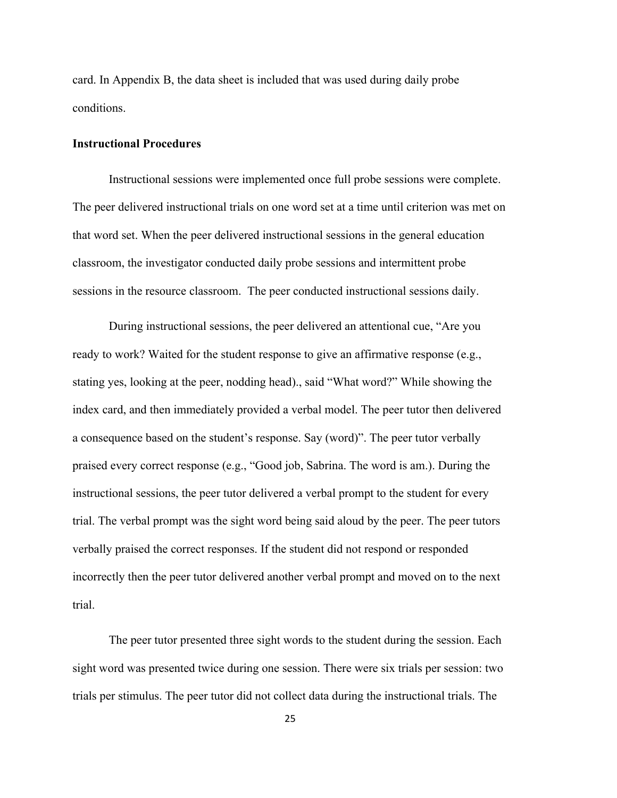card. In Appendix B, the data sheet is included that was used during daily probe conditions.

#### **Instructional Procedures**

Instructional sessions were implemented once full probe sessions were complete. The peer delivered instructional trials on one word set at a time until criterion was met on that word set. When the peer delivered instructional sessions in the general education classroom, the investigator conducted daily probe sessions and intermittent probe sessions in the resource classroom. The peer conducted instructional sessions daily.

During instructional sessions, the peer delivered an attentional cue, "Are you ready to work? Waited for the student response to give an affirmative response (e.g., stating yes, looking at the peer, nodding head)., said "What word?" While showing the index card, and then immediately provided a verbal model. The peer tutor then delivered a consequence based on the student's response. Say (word)". The peer tutor verbally praised every correct response (e.g., "Good job, Sabrina. The word is am.). During the instructional sessions, the peer tutor delivered a verbal prompt to the student for every trial. The verbal prompt was the sight word being said aloud by the peer. The peer tutors verbally praised the correct responses. If the student did not respond or responded incorrectly then the peer tutor delivered another verbal prompt and moved on to the next trial.

The peer tutor presented three sight words to the student during the session. Each sight word was presented twice during one session. There were six trials per session: two trials per stimulus. The peer tutor did not collect data during the instructional trials. The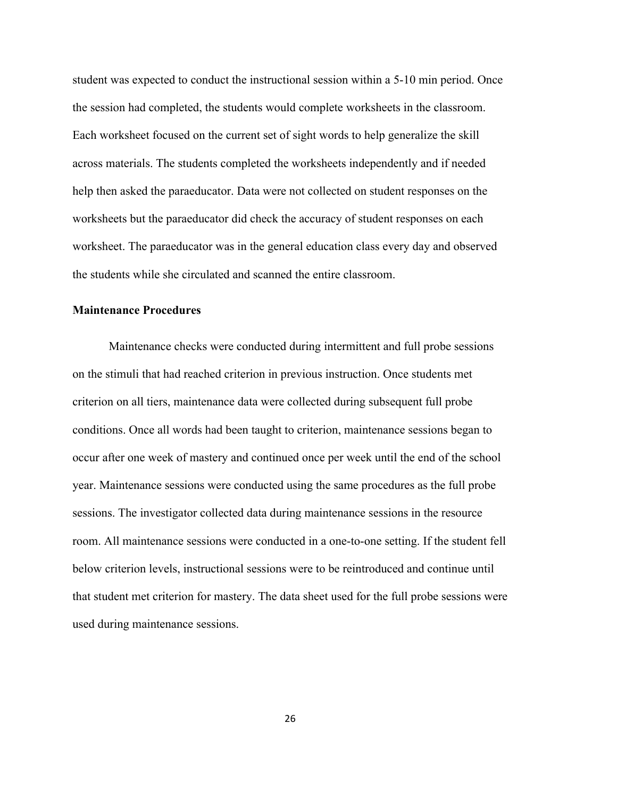student was expected to conduct the instructional session within a 5-10 min period. Once the session had completed, the students would complete worksheets in the classroom. Each worksheet focused on the current set of sight words to help generalize the skill across materials. The students completed the worksheets independently and if needed help then asked the paraeducator. Data were not collected on student responses on the worksheets but the paraeducator did check the accuracy of student responses on each worksheet. The paraeducator was in the general education class every day and observed the students while she circulated and scanned the entire classroom.

#### **Maintenance Procedures**

Maintenance checks were conducted during intermittent and full probe sessions on the stimuli that had reached criterion in previous instruction. Once students met criterion on all tiers, maintenance data were collected during subsequent full probe conditions. Once all words had been taught to criterion, maintenance sessions began to occur after one week of mastery and continued once per week until the end of the school year. Maintenance sessions were conducted using the same procedures as the full probe sessions. The investigator collected data during maintenance sessions in the resource room. All maintenance sessions were conducted in a one-to-one setting. If the student fell below criterion levels, instructional sessions were to be reintroduced and continue until that student met criterion for mastery. The data sheet used for the full probe sessions were used during maintenance sessions.

26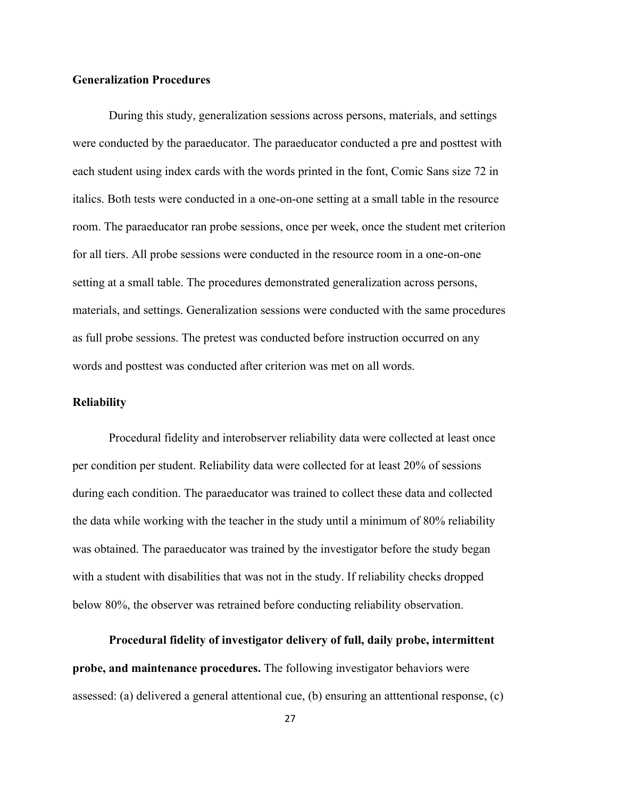#### **Generalization Procedures**

During this study, generalization sessions across persons, materials, and settings were conducted by the paraeducator. The paraeducator conducted a pre and posttest with each student using index cards with the words printed in the font, Comic Sans size 72 in italics. Both tests were conducted in a one-on-one setting at a small table in the resource room. The paraeducator ran probe sessions, once per week, once the student met criterion for all tiers. All probe sessions were conducted in the resource room in a one-on-one setting at a small table. The procedures demonstrated generalization across persons, materials, and settings. Generalization sessions were conducted with the same procedures as full probe sessions. The pretest was conducted before instruction occurred on any words and posttest was conducted after criterion was met on all words.

#### **Reliability**

Procedural fidelity and interobserver reliability data were collected at least once per condition per student. Reliability data were collected for at least 20% of sessions during each condition. The paraeducator was trained to collect these data and collected the data while working with the teacher in the study until a minimum of 80% reliability was obtained. The paraeducator was trained by the investigator before the study began with a student with disabilities that was not in the study. If reliability checks dropped below 80%, the observer was retrained before conducting reliability observation.

**Procedural fidelity of investigator delivery of full, daily probe, intermittent probe, and maintenance procedures.** The following investigator behaviors were assessed: (a) delivered a general attentional cue, (b) ensuring an atttentional response, (c)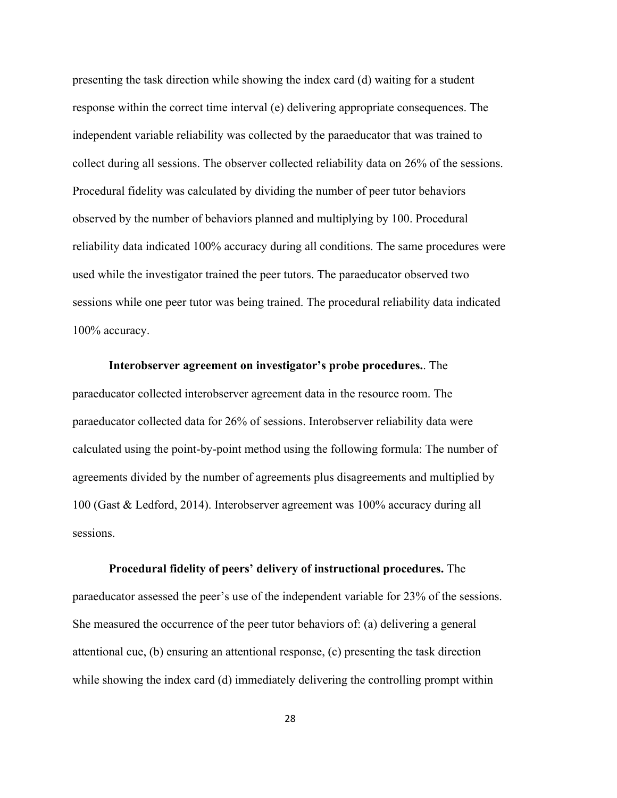presenting the task direction while showing the index card (d) waiting for a student response within the correct time interval (e) delivering appropriate consequences. The independent variable reliability was collected by the paraeducator that was trained to collect during all sessions. The observer collected reliability data on 26% of the sessions. Procedural fidelity was calculated by dividing the number of peer tutor behaviors observed by the number of behaviors planned and multiplying by 100. Procedural reliability data indicated 100% accuracy during all conditions. The same procedures were used while the investigator trained the peer tutors. The paraeducator observed two sessions while one peer tutor was being trained. The procedural reliability data indicated 100% accuracy.

**Interobserver agreement on investigator's probe procedures.**. The paraeducator collected interobserver agreement data in the resource room. The paraeducator collected data for 26% of sessions. Interobserver reliability data were calculated using the point-by-point method using the following formula: The number of agreements divided by the number of agreements plus disagreements and multiplied by 100 (Gast & Ledford, 2014). Interobserver agreement was 100% accuracy during all sessions.

**Procedural fidelity of peers' delivery of instructional procedures.** The paraeducator assessed the peer's use of the independent variable for 23% of the sessions. She measured the occurrence of the peer tutor behaviors of: (a) delivering a general attentional cue, (b) ensuring an attentional response, (c) presenting the task direction while showing the index card (d) immediately delivering the controlling prompt within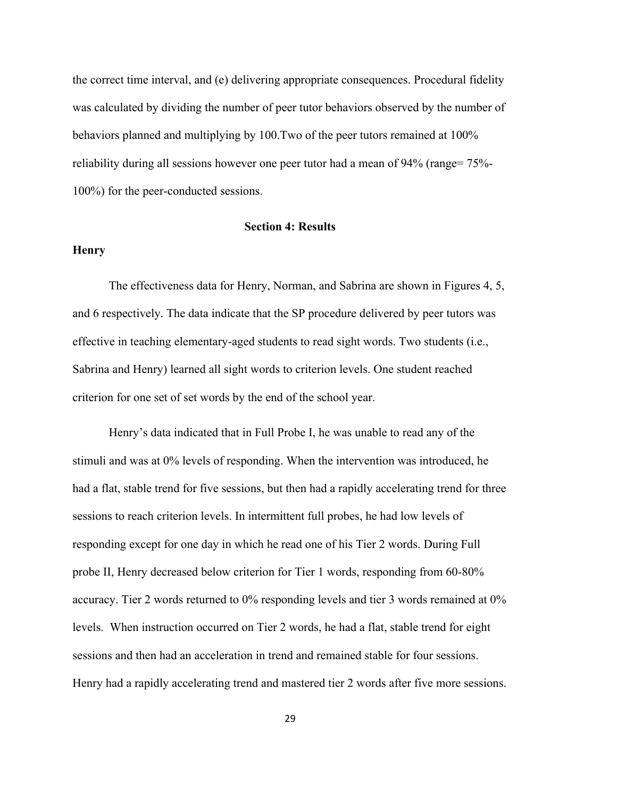the correct time interval, and (e) delivering appropriate consequences. Procedural fidelity was calculated by dividing the number of peer tutor behaviors observed by the number of behaviors planned and multiplying by 100.Two of the peer tutors remained at 100% reliability during all sessions however one peer tutor had a mean of 94% (range= 75%- 100%) for the peer-conducted sessions.

#### **Section 4: Results**

#### **Henry**

The effectiveness data for Henry, Norman, and Sabrina are shown in Figures 4, 5, and 6 respectively. The data indicate that the SP procedure delivered by peer tutors was effective in teaching elementary-aged students to read sight words. Two students (i.e., Sabrina and Henry) learned all sight words to criterion levels. One student reached criterion for one set of set words by the end of the school year.

Henry's data indicated that in Full Probe I, he was unable to read any of the stimuli and was at 0% levels of responding. When the intervention was introduced, he had a flat, stable trend for five sessions, but then had a rapidly accelerating trend for three sessions to reach criterion levels. In intermittent full probes, he had low levels of responding except for one day in which he read one of his Tier 2 words. During Full probe II, Henry decreased below criterion for Tier 1 words, responding from 60-80% accuracy. Tier 2 words returned to 0% responding levels and tier 3 words remained at 0% levels. When instruction occurred on Tier 2 words, he had a flat, stable trend for eight sessions and then had an acceleration in trend and remained stable for four sessions. Henry had a rapidly accelerating trend and mastered tier 2 words after five more sessions.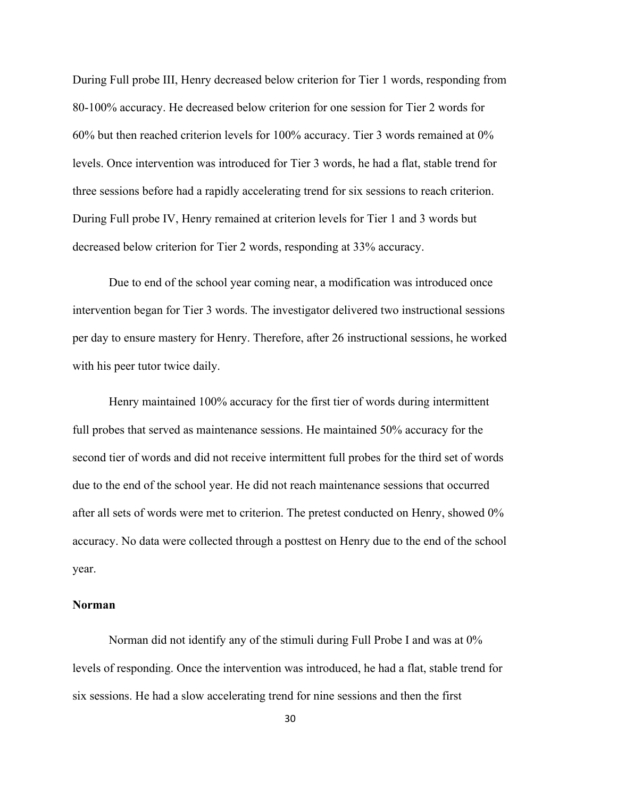During Full probe III, Henry decreased below criterion for Tier 1 words, responding from 80-100% accuracy. He decreased below criterion for one session for Tier 2 words for 60% but then reached criterion levels for 100% accuracy. Tier 3 words remained at 0% levels. Once intervention was introduced for Tier 3 words, he had a flat, stable trend for three sessions before had a rapidly accelerating trend for six sessions to reach criterion. During Full probe IV, Henry remained at criterion levels for Tier 1 and 3 words but decreased below criterion for Tier 2 words, responding at 33% accuracy.

Due to end of the school year coming near, a modification was introduced once intervention began for Tier 3 words. The investigator delivered two instructional sessions per day to ensure mastery for Henry. Therefore, after 26 instructional sessions, he worked with his peer tutor twice daily.

Henry maintained 100% accuracy for the first tier of words during intermittent full probes that served as maintenance sessions. He maintained 50% accuracy for the second tier of words and did not receive intermittent full probes for the third set of words due to the end of the school year. He did not reach maintenance sessions that occurred after all sets of words were met to criterion. The pretest conducted on Henry, showed 0% accuracy. No data were collected through a posttest on Henry due to the end of the school year.

#### **Norman**

Norman did not identify any of the stimuli during Full Probe I and was at 0% levels of responding. Once the intervention was introduced, he had a flat, stable trend for six sessions. He had a slow accelerating trend for nine sessions and then the first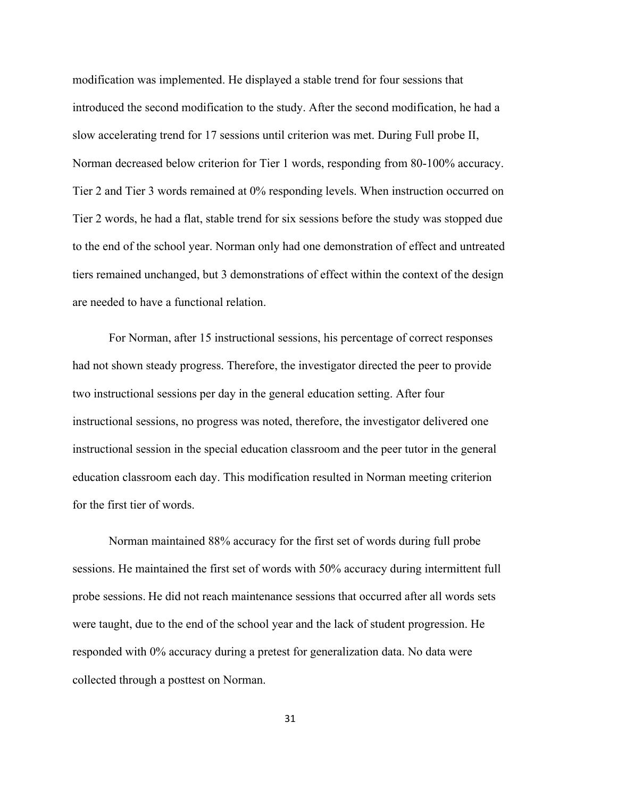modification was implemented. He displayed a stable trend for four sessions that introduced the second modification to the study. After the second modification, he had a slow accelerating trend for 17 sessions until criterion was met. During Full probe II, Norman decreased below criterion for Tier 1 words, responding from 80-100% accuracy. Tier 2 and Tier 3 words remained at 0% responding levels. When instruction occurred on Tier 2 words, he had a flat, stable trend for six sessions before the study was stopped due to the end of the school year. Norman only had one demonstration of effect and untreated tiers remained unchanged, but 3 demonstrations of effect within the context of the design are needed to have a functional relation.

For Norman, after 15 instructional sessions, his percentage of correct responses had not shown steady progress. Therefore, the investigator directed the peer to provide two instructional sessions per day in the general education setting. After four instructional sessions, no progress was noted, therefore, the investigator delivered one instructional session in the special education classroom and the peer tutor in the general education classroom each day. This modification resulted in Norman meeting criterion for the first tier of words.

Norman maintained 88% accuracy for the first set of words during full probe sessions. He maintained the first set of words with 50% accuracy during intermittent full probe sessions. He did not reach maintenance sessions that occurred after all words sets were taught, due to the end of the school year and the lack of student progression. He responded with 0% accuracy during a pretest for generalization data. No data were collected through a posttest on Norman.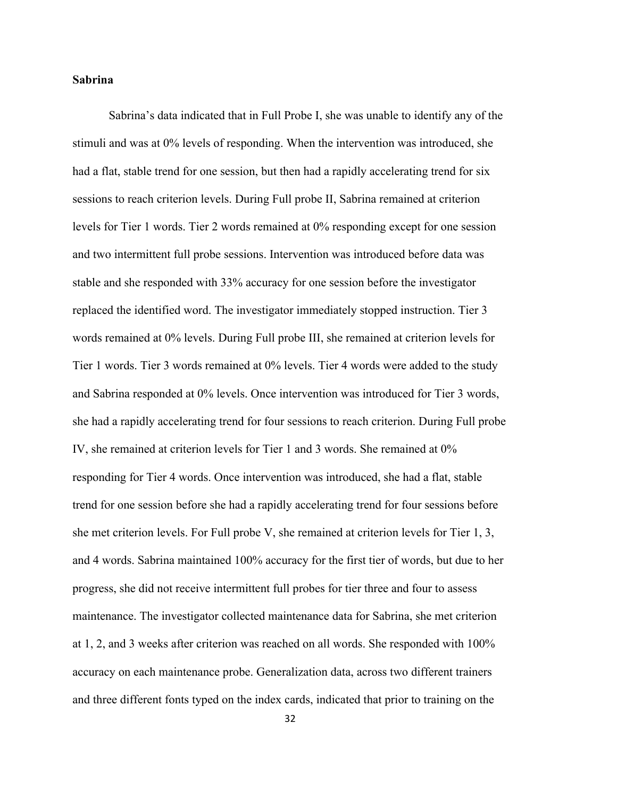#### **Sabrina**

Sabrina's data indicated that in Full Probe I, she was unable to identify any of the stimuli and was at 0% levels of responding. When the intervention was introduced, she had a flat, stable trend for one session, but then had a rapidly accelerating trend for six sessions to reach criterion levels. During Full probe II, Sabrina remained at criterion levels for Tier 1 words. Tier 2 words remained at 0% responding except for one session and two intermittent full probe sessions. Intervention was introduced before data was stable and she responded with 33% accuracy for one session before the investigator replaced the identified word. The investigator immediately stopped instruction. Tier 3 words remained at 0% levels. During Full probe III, she remained at criterion levels for Tier 1 words. Tier 3 words remained at 0% levels. Tier 4 words were added to the study and Sabrina responded at 0% levels. Once intervention was introduced for Tier 3 words, she had a rapidly accelerating trend for four sessions to reach criterion. During Full probe IV, she remained at criterion levels for Tier 1 and 3 words. She remained at 0% responding for Tier 4 words. Once intervention was introduced, she had a flat, stable trend for one session before she had a rapidly accelerating trend for four sessions before she met criterion levels. For Full probe V, she remained at criterion levels for Tier 1, 3, and 4 words. Sabrina maintained 100% accuracy for the first tier of words, but due to her progress, she did not receive intermittent full probes for tier three and four to assess maintenance. The investigator collected maintenance data for Sabrina, she met criterion at 1, 2, and 3 weeks after criterion was reached on all words. She responded with 100% accuracy on each maintenance probe. Generalization data, across two different trainers and three different fonts typed on the index cards, indicated that prior to training on the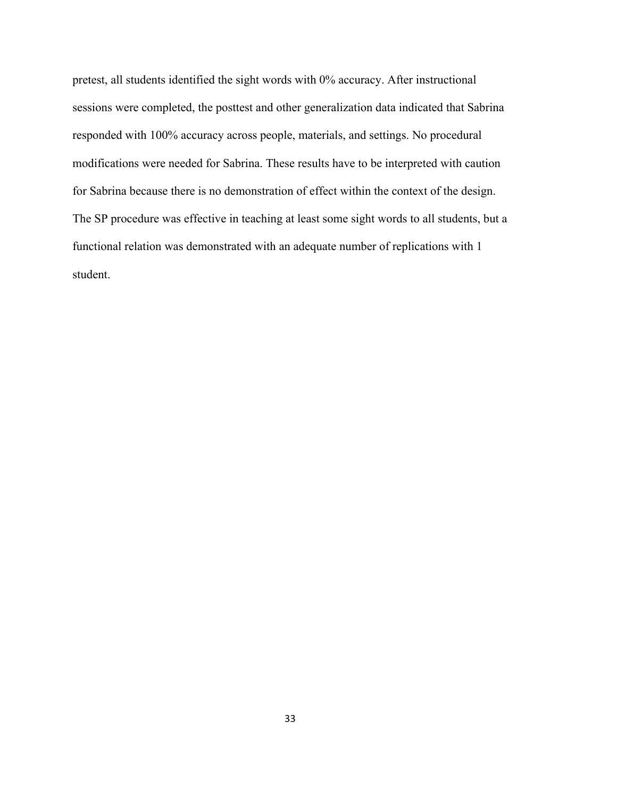pretest, all students identified the sight words with 0% accuracy. After instructional sessions were completed, the posttest and other generalization data indicated that Sabrina responded with 100% accuracy across people, materials, and settings. No procedural modifications were needed for Sabrina. These results have to be interpreted with caution for Sabrina because there is no demonstration of effect within the context of the design. The SP procedure was effective in teaching at least some sight words to all students, but a functional relation was demonstrated with an adequate number of replications with 1 student.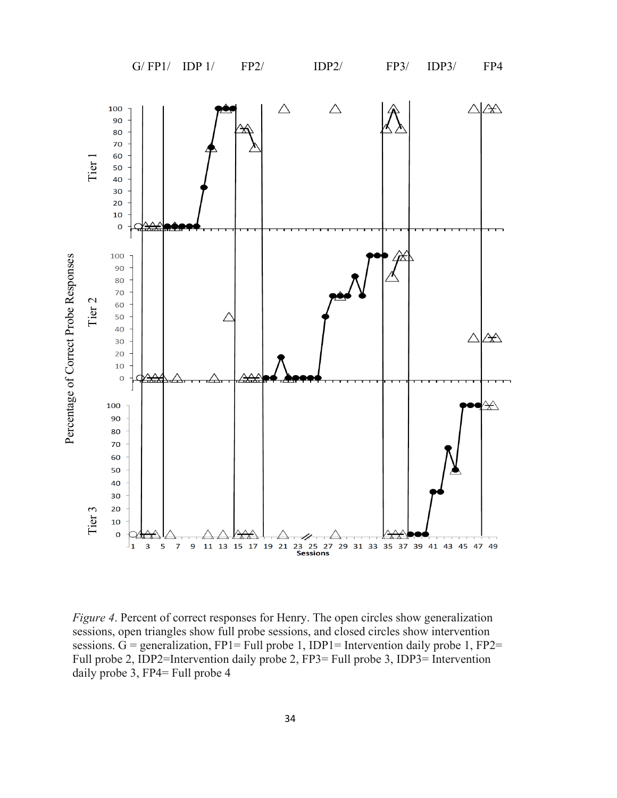

*Figure 4*. Percent of correct responses for Henry. The open circles show generalization sessions, open triangles show full probe sessions, and closed circles show intervention sessions.  $G =$  generalization, FP1= Full probe 1, IDP1= Intervention daily probe 1, FP2= Full probe 2, IDP2=Intervention daily probe 2, FP3= Full probe 3, IDP3= Intervention daily probe 3, FP4= Full probe 4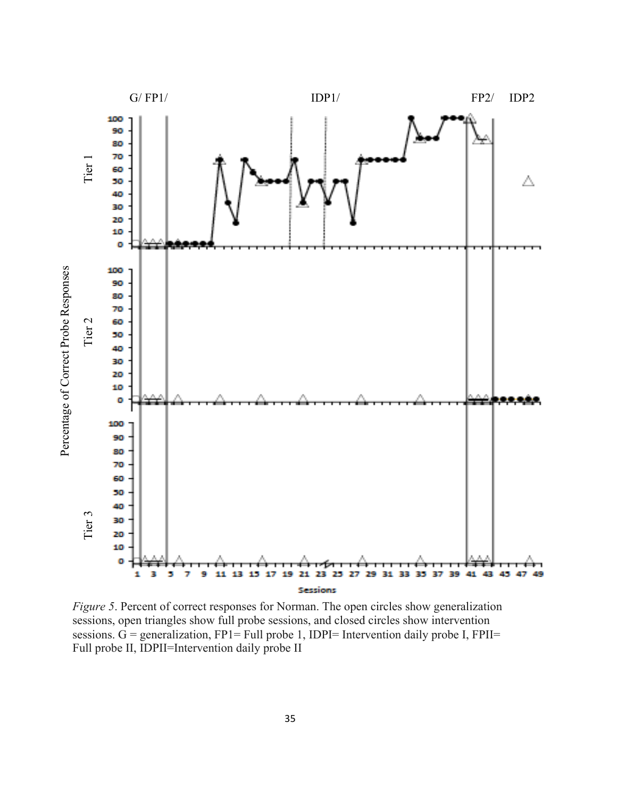

*Figure 5*. Percent of correct responses for Norman. The open circles show generalization sessions, open triangles show full probe sessions, and closed circles show intervention sessions.  $G =$  generalization, FP1= Full probe 1, IDPI= Intervention daily probe I, FPII= Full probe II, IDPII=Intervention daily probe II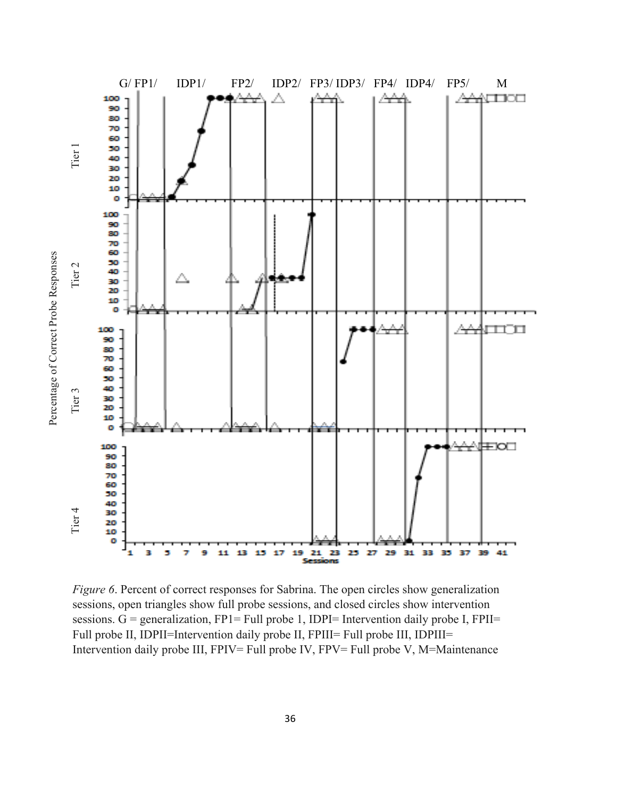

*Figure 6*. Percent of correct responses for Sabrina. The open circles show generalization sessions, open triangles show full probe sessions, and closed circles show intervention sessions. G = generalization, FP1= Full probe 1, IDPI= Intervention daily probe I, FPII= Full probe II, IDPII=Intervention daily probe II, FPIII= Full probe III, IDPIII= Intervention daily probe III, FPIV= Full probe IV, FPV= Full probe V, M=Maintenance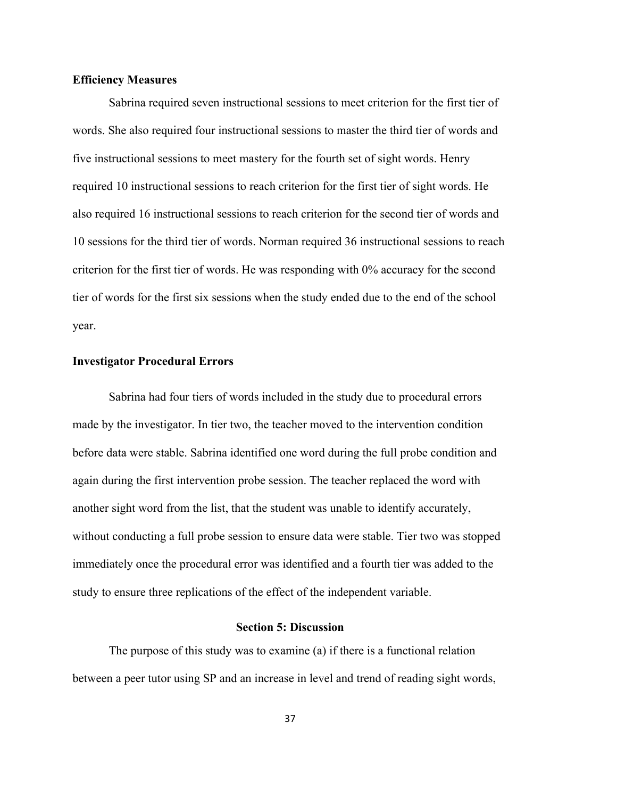#### **Efficiency Measures**

Sabrina required seven instructional sessions to meet criterion for the first tier of words. She also required four instructional sessions to master the third tier of words and five instructional sessions to meet mastery for the fourth set of sight words. Henry required 10 instructional sessions to reach criterion for the first tier of sight words. He also required 16 instructional sessions to reach criterion for the second tier of words and 10 sessions for the third tier of words. Norman required 36 instructional sessions to reach criterion for the first tier of words. He was responding with 0% accuracy for the second tier of words for the first six sessions when the study ended due to the end of the school year.

#### **Investigator Procedural Errors**

Sabrina had four tiers of words included in the study due to procedural errors made by the investigator. In tier two, the teacher moved to the intervention condition before data were stable. Sabrina identified one word during the full probe condition and again during the first intervention probe session. The teacher replaced the word with another sight word from the list, that the student was unable to identify accurately, without conducting a full probe session to ensure data were stable. Tier two was stopped immediately once the procedural error was identified and a fourth tier was added to the study to ensure three replications of the effect of the independent variable.

#### **Section 5: Discussion**

The purpose of this study was to examine (a) if there is a functional relation between a peer tutor using SP and an increase in level and trend of reading sight words,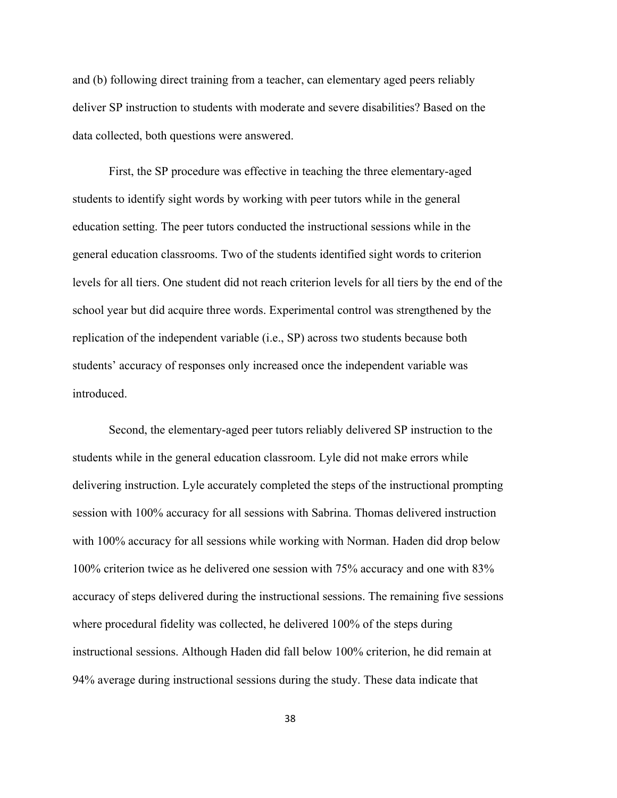and (b) following direct training from a teacher, can elementary aged peers reliably deliver SP instruction to students with moderate and severe disabilities? Based on the data collected, both questions were answered.

First, the SP procedure was effective in teaching the three elementary-aged students to identify sight words by working with peer tutors while in the general education setting. The peer tutors conducted the instructional sessions while in the general education classrooms. Two of the students identified sight words to criterion levels for all tiers. One student did not reach criterion levels for all tiers by the end of the school year but did acquire three words. Experimental control was strengthened by the replication of the independent variable (i.e., SP) across two students because both students' accuracy of responses only increased once the independent variable was introduced.

Second, the elementary-aged peer tutors reliably delivered SP instruction to the students while in the general education classroom. Lyle did not make errors while delivering instruction. Lyle accurately completed the steps of the instructional prompting session with 100% accuracy for all sessions with Sabrina. Thomas delivered instruction with 100% accuracy for all sessions while working with Norman. Haden did drop below 100% criterion twice as he delivered one session with 75% accuracy and one with 83% accuracy of steps delivered during the instructional sessions. The remaining five sessions where procedural fidelity was collected, he delivered 100% of the steps during instructional sessions. Although Haden did fall below 100% criterion, he did remain at 94% average during instructional sessions during the study. These data indicate that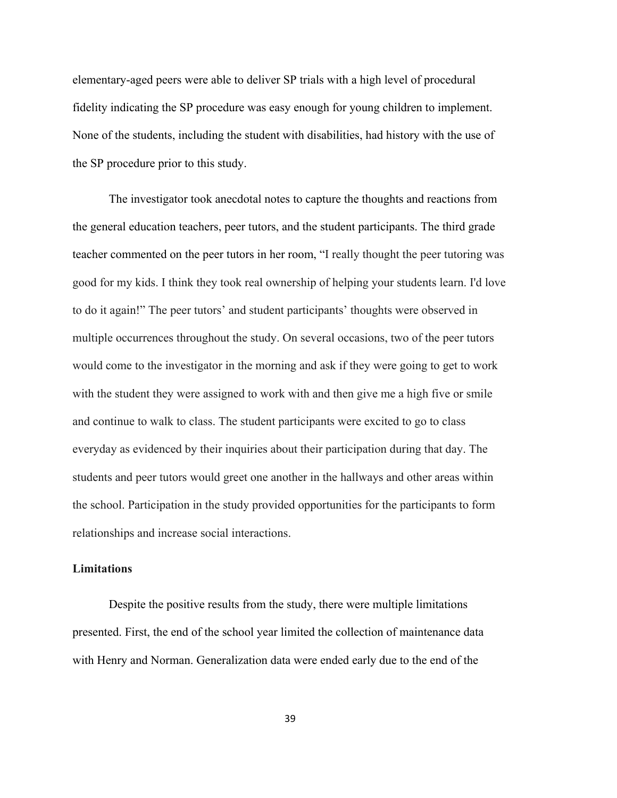elementary-aged peers were able to deliver SP trials with a high level of procedural fidelity indicating the SP procedure was easy enough for young children to implement. None of the students, including the student with disabilities, had history with the use of the SP procedure prior to this study.

The investigator took anecdotal notes to capture the thoughts and reactions from the general education teachers, peer tutors, and the student participants. The third grade teacher commented on the peer tutors in her room, "I really thought the peer tutoring was good for my kids. I think they took real ownership of helping your students learn. I'd love to do it again!" The peer tutors' and student participants' thoughts were observed in multiple occurrences throughout the study. On several occasions, two of the peer tutors would come to the investigator in the morning and ask if they were going to get to work with the student they were assigned to work with and then give me a high five or smile and continue to walk to class. The student participants were excited to go to class everyday as evidenced by their inquiries about their participation during that day. The students and peer tutors would greet one another in the hallways and other areas within the school. Participation in the study provided opportunities for the participants to form relationships and increase social interactions.

#### **Limitations**

Despite the positive results from the study, there were multiple limitations presented. First, the end of the school year limited the collection of maintenance data with Henry and Norman. Generalization data were ended early due to the end of the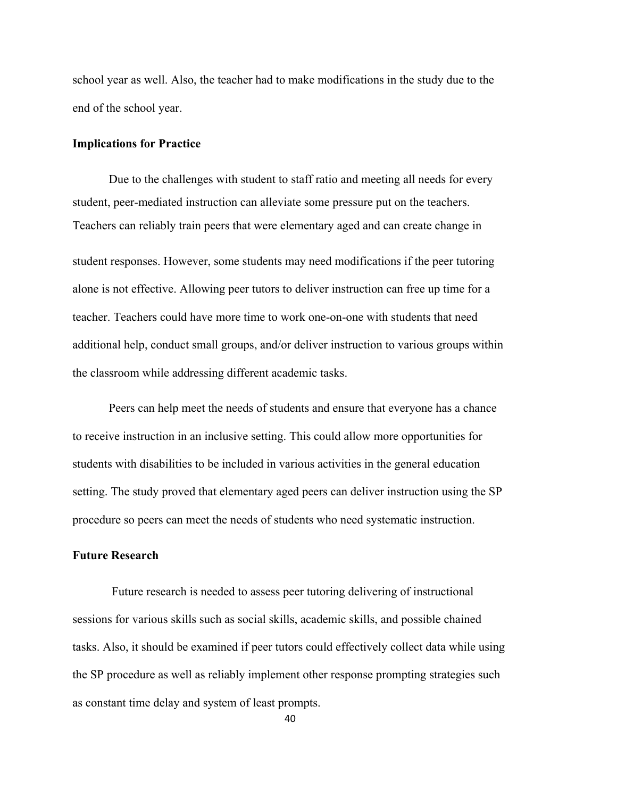school year as well. Also, the teacher had to make modifications in the study due to the end of the school year.

#### **Implications for Practice**

Due to the challenges with student to staff ratio and meeting all needs for every student, peer-mediated instruction can alleviate some pressure put on the teachers. Teachers can reliably train peers that were elementary aged and can create change in

student responses. However, some students may need modifications if the peer tutoring alone is not effective. Allowing peer tutors to deliver instruction can free up time for a teacher. Teachers could have more time to work one-on-one with students that need additional help, conduct small groups, and/or deliver instruction to various groups within the classroom while addressing different academic tasks.

Peers can help meet the needs of students and ensure that everyone has a chance to receive instruction in an inclusive setting. This could allow more opportunities for students with disabilities to be included in various activities in the general education setting. The study proved that elementary aged peers can deliver instruction using the SP procedure so peers can meet the needs of students who need systematic instruction.

#### **Future Research**

Future research is needed to assess peer tutoring delivering of instructional sessions for various skills such as social skills, academic skills, and possible chained tasks. Also, it should be examined if peer tutors could effectively collect data while using the SP procedure as well as reliably implement other response prompting strategies such as constant time delay and system of least prompts.

40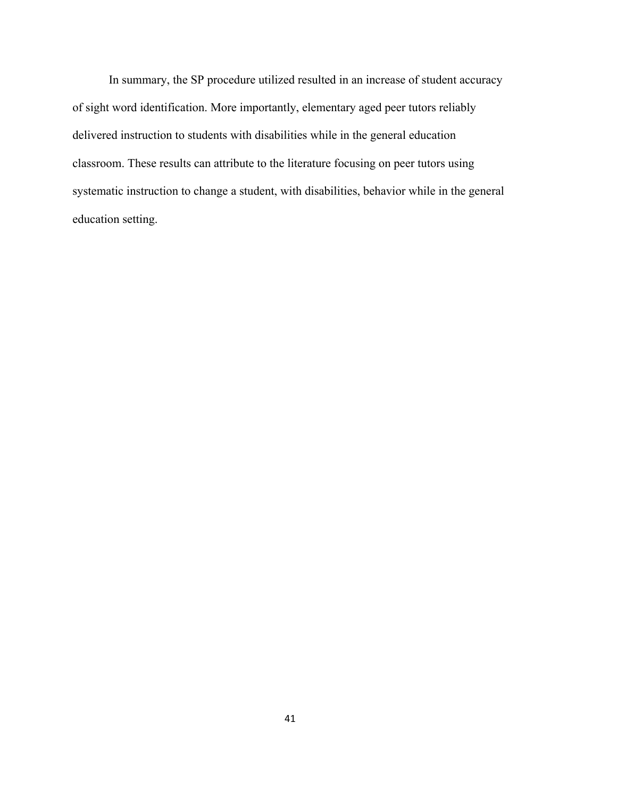In summary, the SP procedure utilized resulted in an increase of student accuracy of sight word identification. More importantly, elementary aged peer tutors reliably delivered instruction to students with disabilities while in the general education classroom. These results can attribute to the literature focusing on peer tutors using systematic instruction to change a student, with disabilities, behavior while in the general education setting.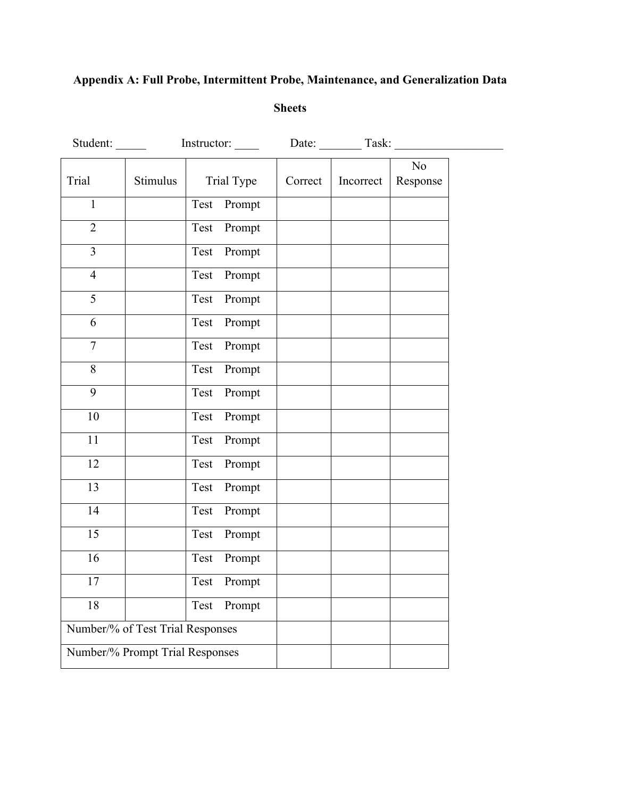# **Appendix A: Full Probe, Intermittent Probe, Maintenance, and Generalization Data**

# **Sheets**

| Student:       |                                  | Instructor: |         | Date: Task: |                            |
|----------------|----------------------------------|-------------|---------|-------------|----------------------------|
| Trial          | Stimulus                         | Trial Type  | Correct | Incorrect   | N <sub>o</sub><br>Response |
| $\mathbf{1}$   |                                  | Test Prompt |         |             |                            |
| $\overline{2}$ |                                  | Test Prompt |         |             |                            |
| $\overline{3}$ |                                  | Test Prompt |         |             |                            |
| $\overline{4}$ |                                  | Test Prompt |         |             |                            |
| $\overline{5}$ |                                  | Test Prompt |         |             |                            |
| 6              |                                  | Test Prompt |         |             |                            |
| $\overline{7}$ |                                  | Test Prompt |         |             |                            |
| 8              |                                  | Test Prompt |         |             |                            |
| 9              |                                  | Test Prompt |         |             |                            |
| 10             |                                  | Test Prompt |         |             |                            |
| 11             |                                  | Test Prompt |         |             |                            |
| 12             |                                  | Test Prompt |         |             |                            |
| 13             |                                  | Test Prompt |         |             |                            |
| 14             |                                  | Test Prompt |         |             |                            |
| 15             |                                  | Test Prompt |         |             |                            |
| 16             |                                  | Test Prompt |         |             |                            |
| 17             |                                  | Test Prompt |         |             |                            |
| 18             |                                  | Test Prompt |         |             |                            |
|                | Number/% of Test Trial Responses |             |         |             |                            |
|                | Number/% Prompt Trial Responses  |             |         |             |                            |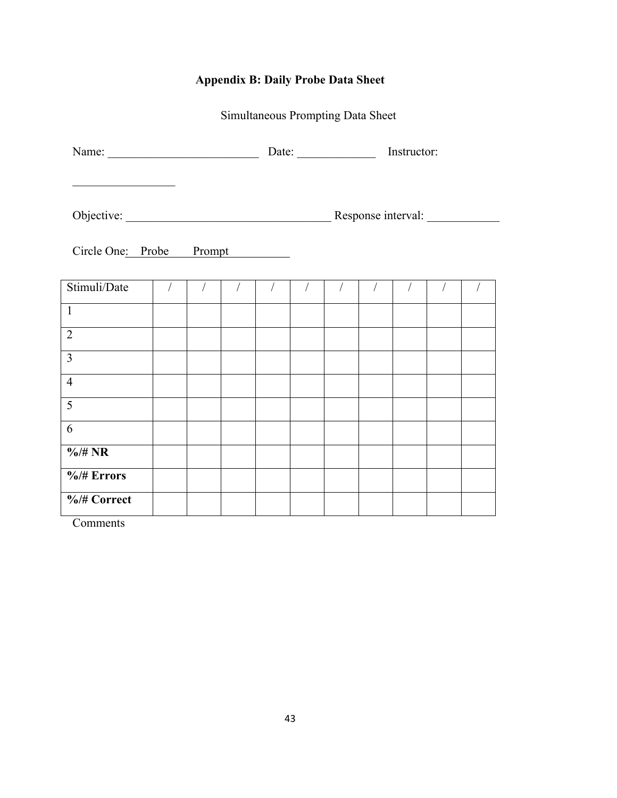# **Appendix B: Daily Probe Data Sheet**

Simultaneous Prompting Data Sheet

|                                                                                                                       |            | Date: $\frac{1}{\sqrt{1-\frac{1}{2}} \cdot \frac{1}{2}}$<br>Instructor: |            |            |  |            |            |            |            |            |
|-----------------------------------------------------------------------------------------------------------------------|------------|-------------------------------------------------------------------------|------------|------------|--|------------|------------|------------|------------|------------|
| <u> 1989 - Johann Barn, mars and de Branch Barn, mars and de Branch Barn, mars and de Branch Barn, mars and de Br</u> |            |                                                                         |            |            |  |            |            |            |            |            |
| Circle One: Probe Prompt                                                                                              |            |                                                                         |            |            |  |            |            |            |            |            |
| Stimuli/Date                                                                                                          | $\sqrt{ }$ | $\sqrt{2}$                                                              | $\sqrt{2}$ | $\sqrt{2}$ |  | $\sqrt{2}$ | $\sqrt{2}$ | $\sqrt{2}$ | $\sqrt{2}$ | $\sqrt{2}$ |
| $\overline{1}$                                                                                                        |            |                                                                         |            |            |  |            |            |            |            |            |
| $\overline{2}$                                                                                                        |            |                                                                         |            |            |  |            |            |            |            |            |
| $\overline{3}$                                                                                                        |            |                                                                         |            |            |  |            |            |            |            |            |
| $\overline{4}$                                                                                                        |            |                                                                         |            |            |  |            |            |            |            |            |
| 5                                                                                                                     |            |                                                                         |            |            |  |            |            |            |            |            |
| 6                                                                                                                     |            |                                                                         |            |            |  |            |            |            |            |            |
| $\frac{6}{4}$ NR                                                                                                      |            |                                                                         |            |            |  |            |            |            |            |            |
| $\frac{6}{4}$ Errors                                                                                                  |            |                                                                         |            |            |  |            |            |            |            |            |
| %/# Correct                                                                                                           |            |                                                                         |            |            |  |            |            |            |            |            |

**Comments**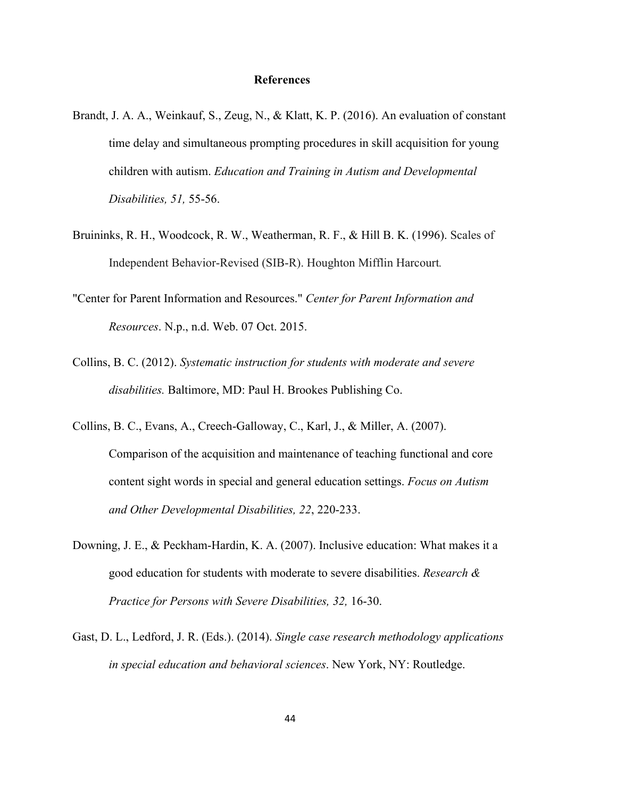#### **References**

- Brandt, J. A. A., Weinkauf, S., Zeug, N., & Klatt, K. P. (2016). An evaluation of constant time delay and simultaneous prompting procedures in skill acquisition for young children with autism. *Education and Training in Autism and Developmental Disabilities, 51,* 55-56.
- Bruininks, R. H., Woodcock, R. W., Weatherman, R. F., & Hill B. K. (1996). Scales of Independent Behavior-Revised (SIB-R). Houghton Mifflin Harcourt*.*
- "Center for Parent Information and Resources." *Center for Parent Information and Resources*. N.p., n.d. Web. 07 Oct. 2015.
- Collins, B. C. (2012). *Systematic instruction for students with moderate and severe disabilities.* Baltimore, MD: Paul H. Brookes Publishing Co.
- Collins, B. C., Evans, A., Creech-Galloway, C., Karl, J., & Miller, A. (2007). Comparison of the acquisition and maintenance of teaching functional and core content sight words in special and general education settings. *Focus on Autism and Other Developmental Disabilities, 22*, 220-233.
- Downing, J. E., & Peckham-Hardin, K. A. (2007). Inclusive education: What makes it a good education for students with moderate to severe disabilities. *Research & Practice for Persons with Severe Disabilities, 32,* 16-30.
- Gast, D. L., Ledford, J. R. (Eds.). (2014). *Single case research methodology applications in special education and behavioral sciences*. New York, NY: Routledge.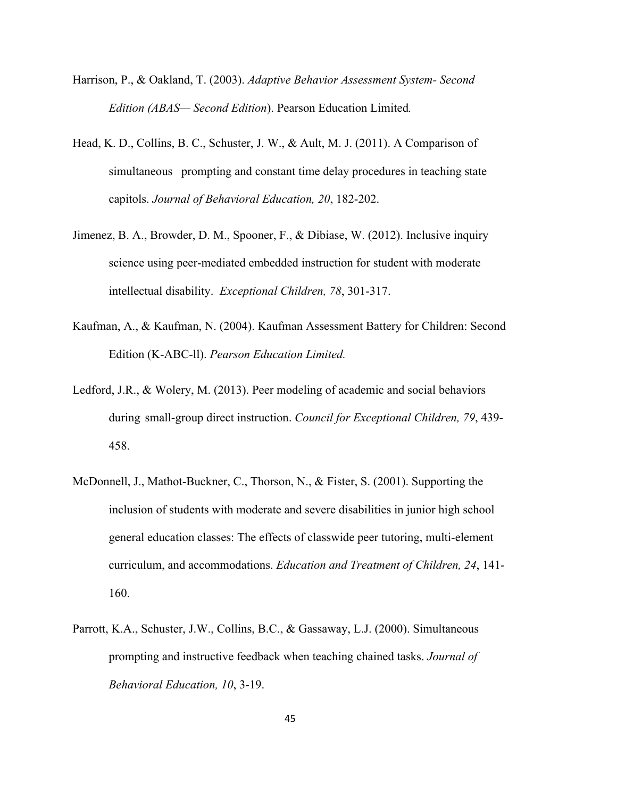- Harrison, P., & Oakland, T. (2003). *Adaptive Behavior Assessment System- Second Edition (ABAS— Second Edition*). Pearson Education Limited*.*
- Head, K. D., Collins, B. C., Schuster, J. W., & Ault, M. J. (2011). A Comparison of simultaneous prompting and constant time delay procedures in teaching state capitols. *Journal of Behavioral Education, 20*, 182-202.
- Jimenez, B. A., Browder, D. M., Spooner, F., & Dibiase, W. (2012). Inclusive inquiry science using peer-mediated embedded instruction for student with moderate intellectual disability. *Exceptional Children, 78*, 301-317.
- Kaufman, A., & Kaufman, N. (2004). Kaufman Assessment Battery for Children: Second Edition (K-ABC-ll). *Pearson Education Limited.*
- Ledford, J.R., & Wolery, M. (2013). Peer modeling of academic and social behaviors during small-group direct instruction. *Council for Exceptional Children, 79*, 439- 458.
- McDonnell, J., Mathot-Buckner, C., Thorson, N., & Fister, S. (2001). Supporting the inclusion of students with moderate and severe disabilities in junior high school general education classes: The effects of classwide peer tutoring, multi-element curriculum, and accommodations. *Education and Treatment of Children, 24*, 141- 160.
- Parrott, K.A., Schuster, J.W., Collins, B.C., & Gassaway, L.J. (2000). Simultaneous prompting and instructive feedback when teaching chained tasks. *Journal of Behavioral Education, 10*, 3-19.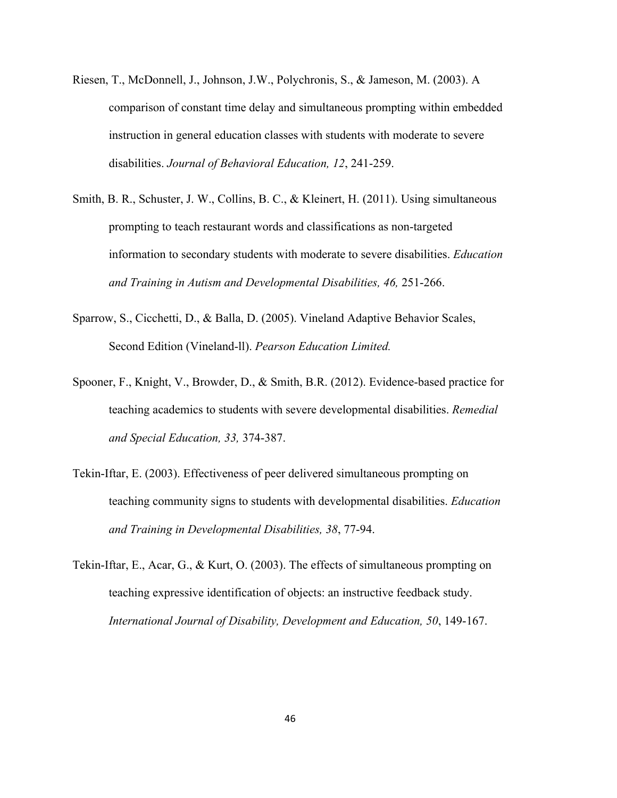- Riesen, T., McDonnell, J., Johnson, J.W., Polychronis, S., & Jameson, M. (2003). A comparison of constant time delay and simultaneous prompting within embedded instruction in general education classes with students with moderate to severe disabilities. *Journal of Behavioral Education, 12*, 241-259.
- Smith, B. R., Schuster, J. W., Collins, B. C., & Kleinert, H. (2011). Using simultaneous prompting to teach restaurant words and classifications as non-targeted information to secondary students with moderate to severe disabilities. *Education and Training in Autism and Developmental Disabilities, 46,* 251-266.
- Sparrow, S., Cicchetti, D., & Balla, D. (2005). Vineland Adaptive Behavior Scales, Second Edition (Vineland-ll). *Pearson Education Limited.*
- Spooner, F., Knight, V., Browder, D., & Smith, B.R. (2012). Evidence-based practice for teaching academics to students with severe developmental disabilities. *Remedial and Special Education, 33,* 374-387.
- Tekin-Iftar, E. (2003). Effectiveness of peer delivered simultaneous prompting on teaching community signs to students with developmental disabilities. *Education and Training in Developmental Disabilities, 38*, 77-94.
- Tekin-Iftar, E., Acar, G., & Kurt, O. (2003). The effects of simultaneous prompting on teaching expressive identification of objects: an instructive feedback study. *International Journal of Disability, Development and Education, 50*, 149-167.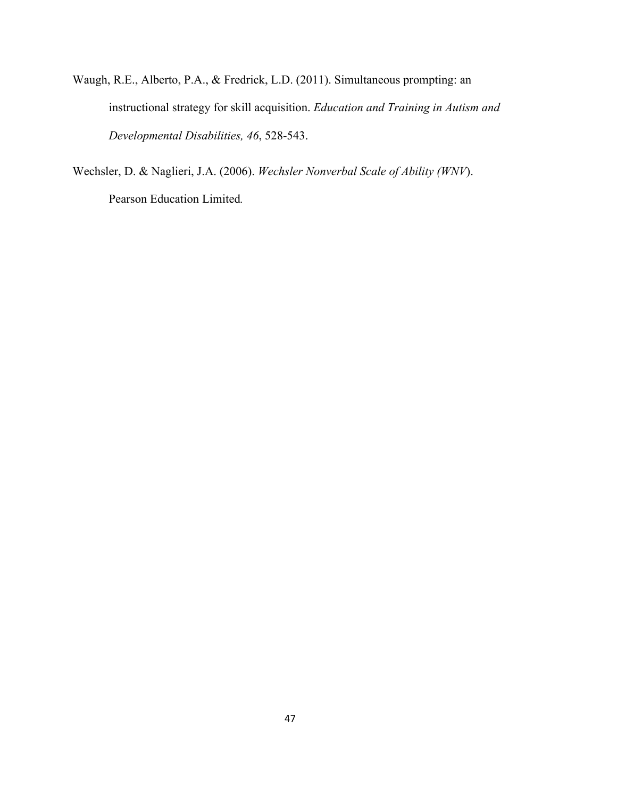- Waugh, R.E., Alberto, P.A., & Fredrick, L.D. (2011). Simultaneous prompting: an instructional strategy for skill acquisition. *Education and Training in Autism and Developmental Disabilities, 46*, 528-543.
- Wechsler, D. & Naglieri, J.A. (2006). *Wechsler Nonverbal Scale of Ability (WNV*). Pearson Education Limited*.*